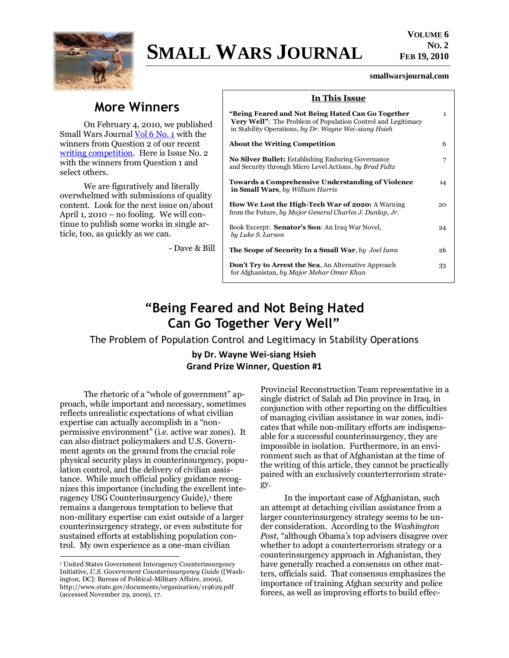

# **SMALL WARS JOURNAL**

#### **smallwarsjournal.com**

## **More Winners**

On February 4, 2010, we published Small Wars Journal [Vol 6 No. 1](http://smallwarsjournal.com/blog/2010/02/small-wars-journal-volume-6-no/) with the winners from Question 2 of our recent [writing competition.](http://smallwarsjournal.com/competition/) Here is Issue No. 2 with the winners from Question 1 and select others.

We are figuratively and literally overwhelmed with submissions of quality content. Look for the next issue on/about April 1, 2010 – no fooling. We will continue to publish some works in single article, too, as quickly as we can.

- Dave & Bill

| In This Issue                                                                                                                                                                     |              |
|-----------------------------------------------------------------------------------------------------------------------------------------------------------------------------------|--------------|
| "Being Feared and Not Being Hated Can Go Together<br><b>Very Well":</b> The Problem of Population Control and Legitimacy<br>in Stability Operations, by Dr. Wayne Wei-siang Hsieh | $\mathbf{1}$ |
| <b>About the Writing Competition</b>                                                                                                                                              | 6            |
| <b>No Silver Bullet:</b> Establishing Enduring Governance<br>and Security through Micro Level Actions, by Brad Fultz                                                              | 7            |
| <b>Towards a Comprehensive Understanding of Violence</b><br>in Small Wars, by William Harris                                                                                      | 14           |
| How We Lost the High-Tech War of 2020: A Warning<br>from the Future, by Major General Charles J. Dunlap, Jr.                                                                      | 20           |
| Book Excerpt: <b>Senator's Son</b> : An Iraq War Novel,<br>by Luke S. Larson                                                                                                      | 24           |
| <b>The Scope of Security In a Small War, by Joel Jams</b>                                                                                                                         | 26           |
| <b>Don't Try to Arrest the Sea, An Alternative Approach</b><br>for Afghanistan, by Major Mehar Omar Khan                                                                          | 33           |

## **"Being Feared and Not Being Hated Can Go Together Very Well"**

<span id="page-0-0"></span>The Problem of Population Control and Legitimacy in Stability Operations

**by Dr. Wayne Wei-siang Hsieh Grand Prize Winner, Question #1**

The rhetoric of a "whole of government" approach, while important and necessary, sometimes reflects unrealistic expectations of what civilian expertise can actually accomplish in a "nonpermissive environment‖ (i.e. active war zones). It can also distract policymakers and U.S. Government agents on the ground from the crucial role physical security plays in counterinsurgency, population control, and the delivery of civilian assistance. While much official policy guidance recognizes this importance (including the excellent interagency USG Counterinsurgency Guide),<sup>1</sup> there remains a dangerous temptation to believe that non-military expertise can exist outside of a larger counterinsurgency strategy, or even substitute for sustained efforts at establishing population control. My own experience as a one-man civilian

 $\overline{a}$ 

Provincial Reconstruction Team representative in a single district of Salah ad Din province in Iraq, in conjunction with other reporting on the difficulties of managing civilian assistance in war zones, indicates that while non-military efforts are indispensable for a successful counterinsurgency, they are impossible in isolation. Furthermore, in an environment such as that of Afghanistan at the time of the writing of this article, they cannot be practically paired with an exclusively counterterrorism strategy.

In the important case of Afghanistan, such an attempt at detaching civilian assistance from a larger counterinsurgency strategy seems to be under consideration. According to the *Washington Post*, "although Obama's top advisers disagree over whether to adopt a counterterrorism strategy or a counterinsurgency approach in Afghanistan, they have generally reached a consensus on other matters, officials said. That consensus emphasizes the importance of training Afghan security and police forces, as well as improving efforts to build effec-

<sup>1</sup> United States Government Interagency Counterinsurgency Initiative, *U.S. Government Counterinsurgency Guide* ([Washington, DC]: Bureau of Political-Military Affairs, 2009), http://www.state.gov/documents/organization/119629.pdf (accessed November 29, 2009), 17.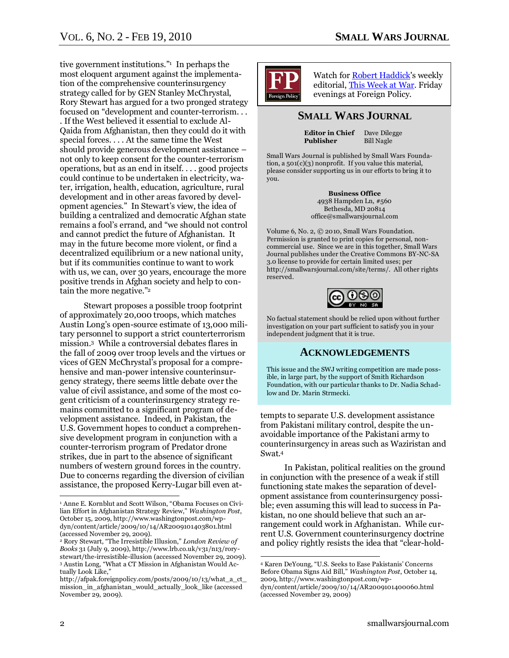tive government institutions."<sup>1</sup> In perhaps the most eloquent argument against the implementation of the comprehensive counterinsurgency strategy called for by GEN Stanley McChrystal, Rory Stewart has argued for a two pronged strategy focused on "development and counter-terrorism... . If the West believed it essential to exclude Al-Qaida from Afghanistan, then they could do it with special forces. . . . At the same time the West should provide generous development assistance – not only to keep consent for the counter-terrorism operations, but as an end in itself. . . . good projects could continue to be undertaken in electricity, water, irrigation, health, education, agriculture, rural development and in other areas favored by development agencies." In Stewart's view, the idea of building a centralized and democratic Afghan state remains a fool's errand, and "we should not control and cannot predict the future of Afghanistan. It may in the future become more violent, or find a decentralized equilibrium or a new national unity, but if its communities continue to want to work with us, we can, over 30 years, encourage the more positive trends in Afghan society and help to contain the more negative."2

Stewart proposes a possible troop footprint of approximately 20,000 troops, which matches Austin Long's open-source estimate of 13,000 military personnel to support a strict counterterrorism mission.3 While a controversial debates flares in the fall of 2009 over troop levels and the virtues or vices of GEN McChrystal's proposal for a comprehensive and man-power intensive counterinsurgency strategy, there seems little debate over the value of civil assistance, and some of the most cogent criticism of a counterinsurgency strategy remains committed to a significant program of development assistance. Indeed, in Pakistan, the U.S. Government hopes to conduct a comprehensive development program in conjunction with a counter-terrorism program of Predator drone strikes, due in part to the absence of significant numbers of western ground forces in the country. Due to concerns regarding the diversion of civilian assistance, the proposed Kerry-Lugar bill even at-



Watch fo[r Robert Haddick'](http://smallwarsjournal.com/blog/authors/robert-haddick/bio/)s weekly editorial[, This Week at War.](http://www.foreignpolicy.com/category/section/small_wars) Friday evenings at Foreign Policy.

#### **SMALL WARS JOURNAL**

**Editor in Chief** Dave Dilegge<br> **Publisher** Bill Nagle **Publisher** 

Small Wars Journal is published by Small Wars Foundation, a 501(c)(3) nonprofit. If you value this material, please consider supporting us in our efforts to bring it to you.

> **Business Office** 4938 Hampden Ln, #560 Bethesda, MD 20814 office@smallwarsjournal.com

Volume 6, No. 2, © 2010, Small Wars Foundation. Permission is granted to print copies for personal, noncommercial use. Since we are in this together, Small Wars Journal publishes under the Creative Commons BY-NC-SA 3.0 license to provide for certain limited uses; per http://smallwarsjournal.com/site/terms/. All other rights reserved.



No factual statement should be relied upon without further investigation on your part sufficient to satisfy you in your independent judgment that it is true.

#### **ACKNOWLEDGEMENTS**

This issue and the SWJ writing competition are made possible, in large part, by the support of Smith Richardson Foundation, with our particular thanks to Dr. Nadia Schadlow and Dr. Marin Strmecki.

tempts to separate U.S. development assistance from Pakistani military control, despite the unavoidable importance of the Pakistani army to counterinsurgency in areas such as Waziristan and Swat.<sup>4</sup>

In Pakistan, political realities on the ground in conjunction with the presence of a weak if still functioning state makes the separation of development assistance from counterinsurgency possible; even assuming this will lead to success in Pakistan, no one should believe that such an arrangement could work in Afghanistan. While current U.S. Government counterinsurgency doctrine and policy rightly resists the idea that "clear-hold-

 $\overline{a}$ 

<sup>&</sup>lt;sup>1</sup> Anne E. Kornblut and Scott Wilson, "Obama Focuses on Civilian Effort in Afghanistan Strategy Review,‖ *Washington Post*, October 15, 2009, http://www.washingtonpost.com/wpdyn/content/article/2009/10/14/AR2009101403801.html (accessed November 29, 2009).

<sup>&</sup>lt;sup>2</sup> Rory Stewart, "The Irresistible Illusion," *London Review of Books* 31 (July 9, 2009), http://www.lrb.co.uk/v31/n13/rorystewart/the-irresistible-illusion (accessed November 29, 2009). <sup>3</sup> Austin Long, "What a CT Mission in Afghanistan Would Actually Look Like,"

http://afpak.foreignpolicy.com/posts/2009/10/13/what\_a\_ct\_ mission\_in\_afghanistan\_would\_actually\_look\_like (accessed November 29, 2009).

<sup>&</sup>lt;sup>4</sup> Karen DeYoung, "U.S. Seeks to Ease Pakistanis' Concerns Before Obama Signs Aid Bill," *Washington Post*, October 14, 2009, http://www.washingtonpost.com/wpdyn/content/article/2009/10/14/AR2009101400060.html (accessed November 29, 2009)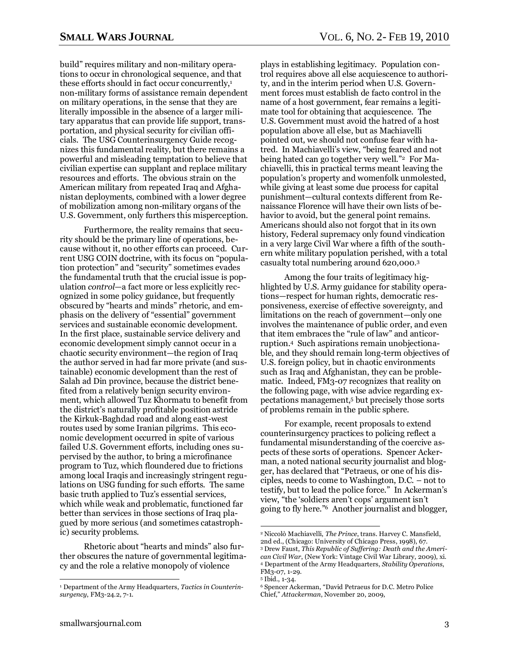build" requires military and non-military operations to occur in chronological sequence, and that these efforts should in fact occur concurrently,<sup>1</sup> non-military forms of assistance remain dependent on military operations, in the sense that they are literally impossible in the absence of a larger military apparatus that can provide life support, transportation, and physical security for civilian officials. The USG Counterinsurgency Guide recognizes this fundamental reality, but there remains a powerful and misleading temptation to believe that civilian expertise can supplant and replace military resources and efforts. The obvious strain on the American military from repeated Iraq and Afghanistan deployments, combined with a lower degree of mobilization among non-military organs of the U.S. Government, only furthers this misperception.

Furthermore, the reality remains that security should be the primary line of operations, because without it, no other efforts can proceed. Current USG COIN doctrine, with its focus on "population protection" and "security" sometimes evades the fundamental truth that the crucial issue is population *control*—a fact more or less explicitly recognized in some policy guidance, but frequently obscured by "hearts and minds" rhetoric, and emphasis on the delivery of "essential" government services and sustainable economic development. In the first place, sustainable service delivery and economic development simply cannot occur in a chaotic security environment—the region of Iraq the author served in had far more private (and sustainable) economic development than the rest of Salah ad Din province, because the district benefited from a relatively benign security environment, which allowed Tuz Khormatu to benefit from the district's naturally profitable position astride the Kirkuk-Baghdad road and along east-west routes used by some Iranian pilgrims. This economic development occurred in spite of various failed U.S. Government efforts, including ones supervised by the author, to bring a microfinance program to Tuz, which floundered due to frictions among local Iraqis and increasingly stringent regulations on USG funding for such efforts. The same basic truth applied to Tuz's essential services, which while weak and problematic, functioned far better than services in those sections of Iraq plagued by more serious (and sometimes catastrophic) security problems.

Rhetoric about "hearts and minds" also further obscures the nature of governmental legitimacy and the role a relative monopoly of violence

plays in establishing legitimacy. Population control requires above all else acquiescence to authority, and in the interim period when U.S. Government forces must establish de facto control in the name of a host government, fear remains a legitimate tool for obtaining that acquiescence. The U.S. Government must avoid the hatred of a host population above all else, but as Machiavelli pointed out, we should not confuse fear with hatred. In Machiavelli's view, "being feared and not being hated can go together very well."<sup>2</sup> For Machiavelli, this in practical terms meant leaving the population's property and womenfolk unmolested, while giving at least some due process for capital punishment—cultural contexts different from Renaissance Florence will have their own lists of behavior to avoid, but the general point remains. Americans should also not forgot that in its own history, Federal supremacy only found vindication in a very large Civil War where a fifth of the southern white military population perished, with a total casualty total numbering around 620,000.<sup>3</sup>

Among the four traits of legitimacy highlighted by U.S. Army guidance for stability operations—respect for human rights, democratic responsiveness, exercise of effective sovereignty, and limitations on the reach of government—only one involves the maintenance of public order, and even that item embraces the "rule of law" and anticorruption.4 Such aspirations remain unobjectionable, and they should remain long-term objectives of U.S. foreign policy, but in chaotic environments such as Iraq and Afghanistan, they can be problematic. Indeed, FM3-07 recognizes that reality on the following page, with wise advice regarding expectations management,<sup>5</sup> but precisely those sorts of problems remain in the public sphere.

For example, recent proposals to extend counterinsurgency practices to policing reflect a fundamental misunderstanding of the coercive aspects of these sorts of operations. Spencer Ackerman, a noted national security journalist and blogger, has declared that "Petraeus, or one of his disciples, needs to come to Washington, D.C. – not to testify, but to lead the police force." In Ackerman's view, "the 'soldiers aren't cops' argument isn't going to fly here.‖6 Another journalist and blogger,

 $\overline{a}$ 

<sup>1</sup> Department of the Army Headquarters, *Tactics in Counterinsurgency*, FM3-24.2, 7-1.

<sup>2</sup> Niccolò Machiavelli, *The Prince*, trans. Harvey C. Mansfield, 2nd ed., (Chicago: University of Chicago Press, 1998), 67. <sup>3</sup> Drew Faust, *This Republic of Suffering: Death and the American Civil War*, (New York: Vintage Civil War Library, 2009), xi. <sup>4</sup> Department of the Army Headquarters, *Stability Operations*, FM3-07, 1-29.

<sup>5</sup> Ibid., 1-34.

<sup>&</sup>lt;sup>6</sup> Spencer Ackerman, "David Petraeus for D.C. Metro Police Chief,‖ *Attackerman*, November 20, 2009,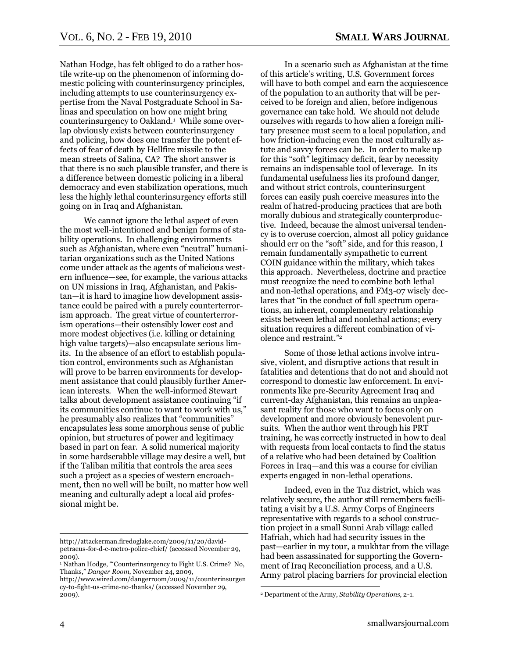Nathan Hodge, has felt obliged to do a rather hostile write-up on the phenomenon of informing domestic policing with counterinsurgency principles, including attempts to use counterinsurgency expertise from the Naval Postgraduate School in Salinas and speculation on how one might bring counterinsurgency to Oakland.<sup>1</sup> While some overlap obviously exists between counterinsurgency and policing, how does one transfer the potent effects of fear of death by Hellfire missile to the mean streets of Salina, CA? The short answer is that there is no such plausible transfer, and there is a difference between domestic policing in a liberal democracy and even stabilization operations, much less the highly lethal counterinsurgency efforts still going on in Iraq and Afghanistan.

We cannot ignore the lethal aspect of even the most well-intentioned and benign forms of stability operations. In challenging environments such as Afghanistan, where even "neutral" humanitarian organizations such as the United Nations come under attack as the agents of malicious western influence—see, for example, the various attacks on UN missions in Iraq, Afghanistan, and Pakistan—it is hard to imagine how development assistance could be paired with a purely counterterrorism approach. The great virtue of counterterrorism operations—their ostensibly lower cost and more modest objectives (i.e. killing or detaining high value targets)—also encapsulate serious limits. In the absence of an effort to establish population control, environments such as Afghanistan will prove to be barren environments for development assistance that could plausibly further American interests. When the well-informed Stewart talks about development assistance continuing "if its communities continue to want to work with us," he presumably also realizes that "communities" encapsulates less some amorphous sense of public opinion, but structures of power and legitimacy based in part on fear. A solid numerical majority in some hardscrabble village may desire a well, but if the Taliban militia that controls the area sees such a project as a species of western encroachment, then no well will be built, no matter how well meaning and culturally adept a local aid professional might be.

In a scenario such as Afghanistan at the time of this article's writing, U.S. Government forces will have to both compel and earn the acquiescence of the population to an authority that will be perceived to be foreign and alien, before indigenous governance can take hold. We should not delude ourselves with regards to how alien a foreign military presence must seem to a local population, and how friction-inducing even the most culturally astute and savvy forces can be. In order to make up for this "soft" legitimacy deficit, fear by necessity remains an indispensable tool of leverage. In its fundamental usefulness lies its profound danger, and without strict controls, counterinsurgent forces can easily push coercive measures into the realm of hatred-producing practices that are both morally dubious and strategically counterproductive. Indeed, because the almost universal tendency is to overuse coercion, almost all policy guidance should err on the "soft" side, and for this reason, I remain fundamentally sympathetic to current COIN guidance within the military, which takes this approach. Nevertheless, doctrine and practice must recognize the need to combine both lethal and non-lethal operations, and FM3-07 wisely declares that "in the conduct of full spectrum operations, an inherent, complementary relationship exists between lethal and nonlethal actions; every situation requires a different combination of violence and restraint."<sup>2</sup>

Some of those lethal actions involve intrusive, violent, and disruptive actions that result in fatalities and detentions that do not and should not correspond to domestic law enforcement. In environments like pre-Security Agreement Iraq and current-day Afghanistan, this remains an unpleasant reality for those who want to focus only on development and more obviously benevolent pursuits. When the author went through his PRT training, he was correctly instructed in how to deal with requests from local contacts to find the status of a relative who had been detained by Coalition Forces in Iraq—and this was a course for civilian experts engaged in non-lethal operations.

Indeed, even in the Tuz district, which was relatively secure, the author still remembers facilitating a visit by a U.S. Army Corps of Engineers representative with regards to a school construction project in a small Sunni Arab village called Hafriah, which had had security issues in the past—earlier in my tour, a mukhtar from the village had been assassinated for supporting the Government of Iraq Reconciliation process, and a U.S. Army patrol placing barriers for provincial election

 $\overline{a}$ 

http://attackerman.firedoglake.com/2009/11/20/davidpetraeus-for-d-c-metro-police-chief/ (accessed November 29, 2009).

<sup>&</sup>lt;sup>1</sup> Nathan Hodge, "Counterinsurgency to Fight U.S. Crime? No, Thanks,‖ *Danger Room*, November 24, 2009, http://www.wired.com/dangerroom/2009/11/counterinsurgen

cy-to-fight-us-crime-no-thanks/ (accessed November 29, 2009).

<sup>2</sup> Department of the Army, *Stability Operations*, 2-1.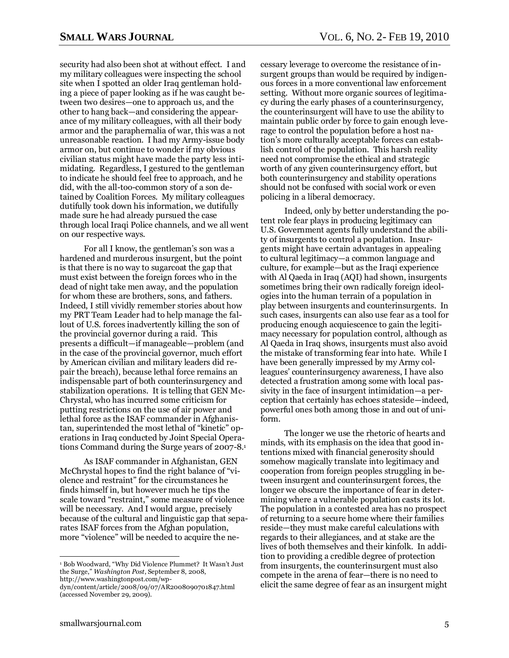security had also been shot at without effect. I and my military colleagues were inspecting the school site when I spotted an older Iraq gentleman holding a piece of paper looking as if he was caught between two desires—one to approach us, and the other to hang back—and considering the appearance of my military colleagues, with all their body armor and the paraphernalia of war, this was a not unreasonable reaction. I had my Army-issue body armor on, but continue to wonder if my obvious civilian status might have made the party less intimidating. Regardless, I gestured to the gentleman to indicate he should feel free to approach, and he did, with the all-too-common story of a son detained by Coalition Forces. My military colleagues dutifully took down his information, we dutifully made sure he had already pursued the case through local Iraqi Police channels, and we all went on our respective ways.

For all I know, the gentleman's son was a hardened and murderous insurgent, but the point is that there is no way to sugarcoat the gap that must exist between the foreign forces who in the dead of night take men away, and the population for whom these are brothers, sons, and fathers. Indeed, I still vividly remember stories about how my PRT Team Leader had to help manage the fallout of U.S. forces inadvertently killing the son of the provincial governor during a raid. This presents a difficult—if manageable—problem (and in the case of the provincial governor, much effort by American civilian and military leaders did repair the breach), because lethal force remains an indispensable part of both counterinsurgency and stabilization operations. It is telling that GEN Mc-Chrystal, who has incurred some criticism for putting restrictions on the use of air power and lethal force as the ISAF commander in Afghanistan, superintended the most lethal of "kinetic" operations in Iraq conducted by Joint Special Operations Command during the Surge years of 2007-8.<sup>1</sup>

As ISAF commander in Afghanistan, GEN McChrystal hopes to find the right balance of "violence and restraint" for the circumstances he finds himself in, but however much he tips the scale toward "restraint," some measure of violence will be necessary. And I would argue, precisely because of the cultural and linguistic gap that separates ISAF forces from the Afghan population, more "violence" will be needed to acquire the ne-

 $\overline{a}$ 

cessary leverage to overcome the resistance of insurgent groups than would be required by indigenous forces in a more conventional law enforcement setting. Without more organic sources of legitimacy during the early phases of a counterinsurgency, the counterinsurgent will have to use the ability to maintain public order by force to gain enough leverage to control the population before a host nation's more culturally acceptable forces can establish control of the population. This harsh reality need not compromise the ethical and strategic worth of any given counterinsurgency effort, but both counterinsurgency and stability operations should not be confused with social work or even policing in a liberal democracy.

Indeed, only by better understanding the potent role fear plays in producing legitimacy can U.S. Government agents fully understand the ability of insurgents to control a population. Insurgents might have certain advantages in appealing to cultural legitimacy—a common language and culture, for example—but as the Iraqi experience with Al Qaeda in Iraq (AQI) had shown, insurgents sometimes bring their own radically foreign ideologies into the human terrain of a population in play between insurgents and counterinsurgents. In such cases, insurgents can also use fear as a tool for producing enough acquiescence to gain the legitimacy necessary for population control, although as Al Qaeda in Iraq shows, insurgents must also avoid the mistake of transforming fear into hate. While I have been generally impressed by my Army colleagues' counterinsurgency awareness, I have also detected a frustration among some with local passivity in the face of insurgent intimidation—a perception that certainly has echoes stateside—indeed, powerful ones both among those in and out of uniform.

The longer we use the rhetoric of hearts and minds, with its emphasis on the idea that good intentions mixed with financial generosity should somehow magically translate into legitimacy and cooperation from foreign peoples struggling in between insurgent and counterinsurgent forces, the longer we obscure the importance of fear in determining where a vulnerable population casts its lot. The population in a contested area has no prospect of returning to a secure home where their families reside—they must make careful calculations with regards to their allegiances, and at stake are the lives of both themselves and their kinfolk. In addition to providing a credible degree of protection from insurgents, the counterinsurgent must also compete in the arena of fear—there is no need to elicit the same degree of fear as an insurgent might

<sup>&</sup>lt;sup>1</sup> Bob Woodward, "Why Did Violence Plummet? It Wasn't Just the Surge," *Washington Post*, September 8, 2008, http://www.washingtonpost.com/wp-

dyn/content/article/2008/09/07/AR2008090701847.html (accessed November 29, 2009).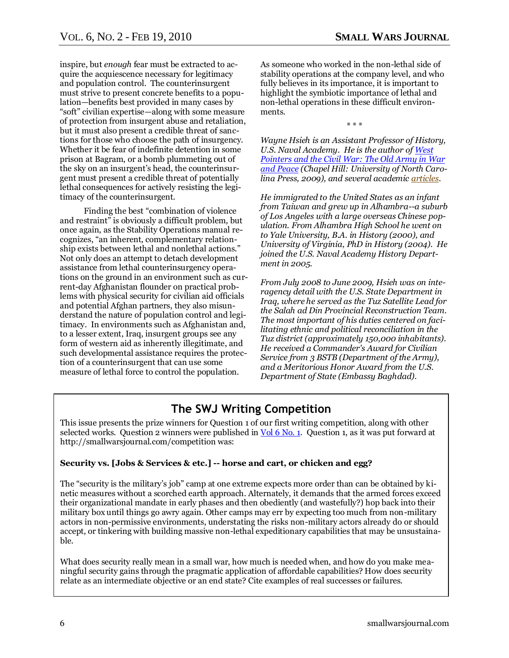inspire, but *enough* fear must be extracted to acquire the acquiescence necessary for legitimacy and population control. The counterinsurgent must strive to present concrete benefits to a population—benefits best provided in many cases by ―soft‖ civilian expertise—along with some measure of protection from insurgent abuse and retaliation, but it must also present a credible threat of sanctions for those who choose the path of insurgency. Whether it be fear of indefinite detention in some prison at Bagram, or a bomb plummeting out of the sky on an insurgent's head, the counterinsurgent must present a credible threat of potentially lethal consequences for actively resisting the legitimacy of the counterinsurgent.

Finding the best "combination of violence" and restraint" is obviously a difficult problem, but once again, as the Stability Operations manual recognizes, "an inherent, complementary relationship exists between lethal and nonlethal actions." Not only does an attempt to detach development assistance from lethal counterinsurgency operations on the ground in an environment such as current-day Afghanistan flounder on practical problems with physical security for civilian aid officials and potential Afghan partners, they also misunderstand the nature of population control and legitimacy. In environments such as Afghanistan and, to a lesser extent, Iraq, insurgent groups see any form of western aid as inherently illegitimate, and such developmental assistance requires the protection of a counterinsurgent that can use some measure of lethal force to control the population.

As someone who worked in the non-lethal side of stability operations at the company level, and who fully believes in its importance, it is important to highlight the symbiotic importance of lethal and non-lethal operations in these difficult environments.

\* \* \*

*Wayne Hsieh is an Assistant Professor of History, U.S. Naval Academy. He is the author o[f West](http://uncpress.unc.edu/browse/book_detail?title_id=1641)  [Pointers and the Civil War: The Old Army in War](http://uncpress.unc.edu/browse/book_detail?title_id=1641)  [and Peace](http://uncpress.unc.edu/browse/book_detail?title_id=1641) (Chapel Hill: University of North Carolina Press, 2009), and several academi[c articles.](http://www.amazon.com/Wayne-Wei-siang-Hsieh/e/B0028OEL9C/ref=ntt_dp_epwbk_0)* 

*He immigrated to the United States as an infant from Taiwan and grew up in Alhambra--a suburb of Los Angeles with a large overseas Chinese population. From Alhambra High School he went on to Yale University, B.A. in History (2000), and University of Virginia, PhD in History (2004). He joined the U.S. Naval Academy History Department in 2005.*

*From July 2008 to June 2009, Hsieh was on interagency detail with the U.S. State Department in Iraq, where he served as the Tuz Satellite Lead for the Salah ad Din Provincial Reconstruction Team. The most important of his duties centered on facilitating ethnic and political reconciliation in the Tuz district (approximately 150,000 inhabitants). He received a Commander's Award for Civilian Service from 3 BSTB (Department of the Army), and a Meritorious Honor Award from the U.S. Department of State (Embassy Baghdad).*

## **The SWJ Writing Competition**

<span id="page-5-0"></span>This issue presents the prize winners for Question 1 of our first writing competition, along with other selected works. Question 2 winners were published in <u>Vol 6 No. 1</u>. Question 1, as it was put forward at http://smallwarsjournal.com/competition was:

#### **Security vs. [Jobs & Services & etc.] -- horse and cart, or chicken and egg?**

The "security is the military's job" camp at one extreme expects more order than can be obtained by kinetic measures without a scorched earth approach. Alternately, it demands that the armed forces exceed their organizational mandate in early phases and then obediently (and wastefully?) hop back into their military box until things go awry again. Other camps may err by expecting too much from non-military actors in non-permissive environments, understating the risks non-military actors already do or should accept, or tinkering with building massive non-lethal expeditionary capabilities that may be unsustainable.

What does security really mean in a small war, how much is needed when, and how do you make meaningful security gains through the pragmatic application of affordable capabilities? How does security relate as an intermediate objective or an end state? Cite examples of real successes or failures.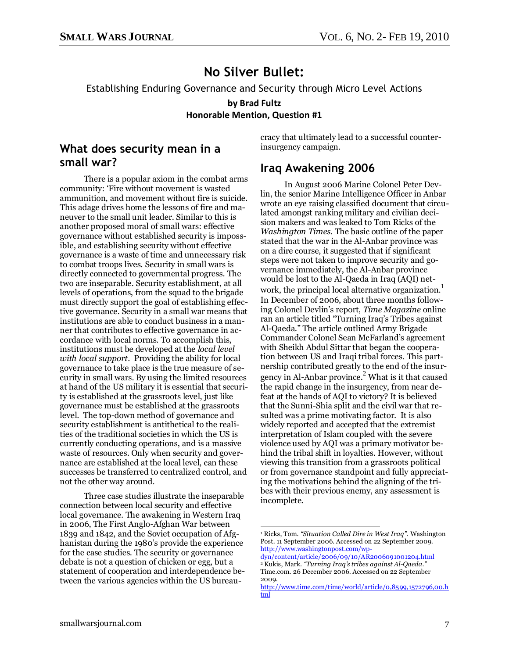## **No Silver Bullet:**

<span id="page-6-0"></span>Establishing Enduring Governance and Security through Micro Level Actions

**by Brad Fultz Honorable Mention, Question #1**

#### **What does security mean in a small war?**

There is a popular axiom in the combat arms community: 'Fire without movement is wasted ammunition, and movement without fire is suicide. This adage drives home the lessons of fire and maneuver to the small unit leader. Similar to this is another proposed moral of small wars: effective governance without established security is impossible, and establishing security without effective governance is a waste of time and unnecessary risk to combat troops lives. Security in small wars is directly connected to governmental progress. The two are inseparable. Security establishment, at all levels of operations, from the squad to the brigade must directly support the goal of establishing effective governance. Security in a small war means that institutions are able to conduct business in a manner that contributes to effective governance in accordance with local norms. To accomplish this, institutions must be developed at the *local level with local support*. Providing the ability for local governance to take place is the true measure of security in small wars. By using the limited resources at hand of the US military it is essential that security is established at the grassroots level, just like governance must be established at the grassroots level. The top-down method of governance and security establishment is antithetical to the realities of the traditional societies in which the US is currently conducting operations, and is a massive waste of resources. Only when security and governance are established at the local level, can these successes be transferred to centralized control, and not the other way around.

Three case studies illustrate the inseparable connection between local security and effective local governance. The awakening in Western Iraq in 2006, The First Anglo-Afghan War between 1839 and 1842, and the Soviet occupation of Afghanistan during the 1980's provide the experience for the case studies. The security or governance debate is not a question of chicken or egg, but a statement of cooperation and interdependence between the various agencies within the US bureaucracy that ultimately lead to a successful counterinsurgency campaign.

#### **Iraq Awakening 2006**

In August 2006 Marine Colonel Peter Devlin, the senior Marine Intelligence Officer in Anbar wrote an eye raising classified document that circulated amongst ranking military and civilian decision makers and was leaked to Tom Ricks of the *Washington Times*. The basic outline of the paper stated that the war in the Al-Anbar province was on a dire course, it suggested that if significant steps were not taken to improve security and governance immediately, the Al-Anbar province would be lost to the Al-Qaeda in Iraq (AQI) network, the principal local alternative organization.<sup>1</sup> In December of 2006, about three months following Colonel Devlin's report, *Time Magazine* online ran an article titled "Turning Iraq's Tribes against Al-Qaeda." The article outlined Army Brigade Commander Colonel Sean McFarland's agreement with Sheikh Abdul Sittar that began the cooperation between US and Iraqi tribal forces. This partnership contributed greatly to the end of the insurgency in Al-Anbar province.<sup>2</sup> What is it that caused the rapid change in the insurgency, from near defeat at the hands of AQI to victory? It is believed that the Sunni-Shia split and the civil war that resulted was a prime motivating factor. It is also widely reported and accepted that the extremist interpretation of Islam coupled with the severe violence used by AQI was a primary motivator behind the tribal shift in loyalties. However, without viewing this transition from a grassroots political or from governance standpoint and fully appreciating the motivations behind the aligning of the tribes with their previous enemy, any assessment is incomplete.

 $\overline{a}$ <sup>1</sup> Ricks, Tom. *"Situation Called Dire in West Iraq"*. Washington Post*.* 11 September 2006. Accessed on 22 September 2009. [http://www.washingtonpost.com/wp-](http://www.washingtonpost.com/wp-dyn/content/article/2006/09/10/AR2006091001204.html)

[dyn/content/article/2006/09/10/AR2006091001204.html](http://www.washingtonpost.com/wp-dyn/content/article/2006/09/10/AR2006091001204.html)  <sup>2</sup> Kukis, Mark. *"Turning Iraq's tribes against Al-Qaeda."*  Time.com. 26 December 2006. Accessed on 22 September 2009.

[http://www.time.com/time/world/article/0,8599,1572796,00.h](http://www.time.com/time/world/article/0,8599,1572796,00.html) [tml](http://www.time.com/time/world/article/0,8599,1572796,00.html)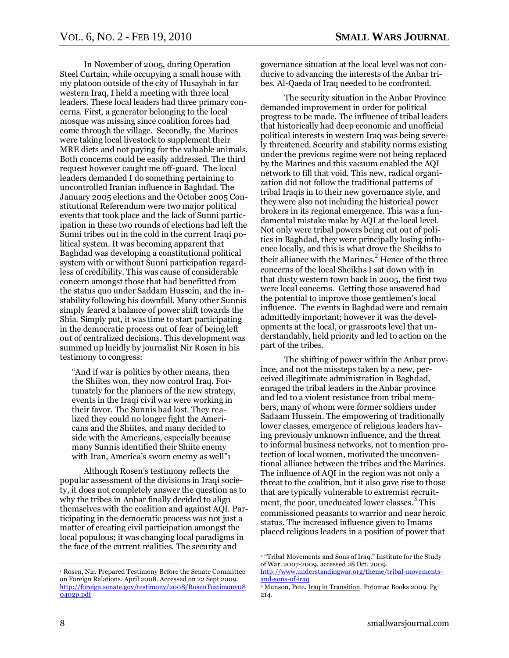In November of 2005, during Operation Steel Curtain, while occupying a small house with my platoon outside of the city of Husaybah in far western Iraq, I held a meeting with three local leaders. These local leaders had three primary concerns. First, a generator belonging to the local mosque was missing since coalition forces had come through the village. Secondly, the Marines were taking local livestock to supplement their MRE diets and not paying for the valuable animals. Both concerns could be easily addressed. The third request however caught me off-guard. The local leaders demanded I do something pertaining to uncontrolled Iranian influence in Baghdad. The January 2005 elections and the October 2005 Constitutional Referendum were two major political events that took place and the lack of Sunni participation in these two rounds of elections had left the Sunni tribes out in the cold in the current Iraqi political system. It was becoming apparent that Baghdad was developing a constitutional political system with or without Sunni participation regardless of credibility. This was cause of considerable concern amongst those that had benefitted from the status quo under Saddam Hussein, and the instability following his downfall. Many other Sunnis simply feared a balance of power shift towards the Shia. Simply put, it was time to start participating in the democratic process out of fear of being left out of centralized decisions. This development was summed up lucidly by journalist Nir Rosen in his testimony to congress:

―And if war is politics by other means, then the Shiites won, they now control Iraq. Fortunately for the planners of the new strategy, events in the Iraqi civil war were working in their favor. The Sunnis had lost. They realized they could no longer fight the Americans and the Shiites, and many decided to side with the Americans, especially because many Sunnis identified their Shiite enemy with Iran, America's sworn enemy as well"1

Although Rosen's testimony reflects the popular assessment of the divisions in Iraqi society, it does not completely answer the question as to why the tribes in Anbar finally decided to align themselves with the coalition and against AQI. Participating in the democratic process was not just a matter of creating civil participation amongst the local populous; it was changing local paradigms in the face of the current realities. The security and

governance situation at the local level was not conducive to advancing the interests of the Anbar tribes. Al-Qaeda of Iraq needed to be confronted.

The security situation in the Anbar Province demanded improvement in order for political progress to be made. The influence of tribal leaders that historically had deep economic and unofficial political interests in western Iraq was being severely threatened. Security and stability norms existing under the previous regime were not being replaced by the Marines and this vacuum enabled the AQI network to fill that void. This new, radical organization did not follow the traditional patterns of tribal Iraqis in to their new governance style, and they were also not including the historical power brokers in its regional emergence. This was a fundamental mistake make by AQI at the local level. Not only were tribal powers being cut out of politics in Baghdad, they were principally losing influence locally, and this is what drove the Sheikhs to their alliance with the Marines. $<sup>2</sup>$  Hence of the three</sup> concerns of the local Sheikhs I sat down with in that dusty western town back in 2005, the first two were local concerns. Getting those answered had the potential to improve those gentlemen's local influence. The events in Baghdad were and remain admittedly important; however it was the developments at the local, or grassroots level that understandably, held priority and led to action on the part of the tribes.

The shifting of power within the Anbar province, and not the missteps taken by a new, perceived illegitimate administration in Baghdad, enraged the tribal leaders in the Anbar province and led to a violent resistance from tribal members, many of whom were former soldiers under Sadaam Hussein. The empowering of traditionally lower classes, emergence of religious leaders having previously unknown influence, and the threat to informal business networks, not to mention protection of local women, motivated the unconventional alliance between the tribes and the Marines. The influence of AQI in the region was not only a threat to the coalition, but it also gave rise to those that are typically vulnerable to extremist recruitment, the poor, uneducated lower classes.<sup>3</sup> This commissioned peasants to warrior and near heroic status. The increased influence given to Imams placed religious leaders in a position of power that

 $\overline{a}$ 

<sup>1</sup> Rosen, Nir. Prepared Testimony Before the Senate Committee on Foreign Relations. April 2008. Accessed on 22 Sept 2009. [http://foreign.senate.gov/testimony/2008/RosenTestimony08](http://foreign.senate.gov/testimony/2008/RosenTestimony080402p.pdf) [0402p.pdf](http://foreign.senate.gov/testimony/2008/RosenTestimony080402p.pdf) 

<sup>&</sup>lt;sup>2</sup> "Tribal Movements and Sons of Iraq." Institute for the Study of War. 2007-2009. accessed 28 Oct. 2009. [http://www.understandingwar.org/theme/tribal-movements-](http://www.understandingwar.org/theme/tribal-movements-and-sons-of-iraq)

[and-sons-of-iraq](http://www.understandingwar.org/theme/tribal-movements-and-sons-of-iraq) <sup>3</sup> Munson, Pete. Iraq in Transition. Potomac Books 2009. Pg 214.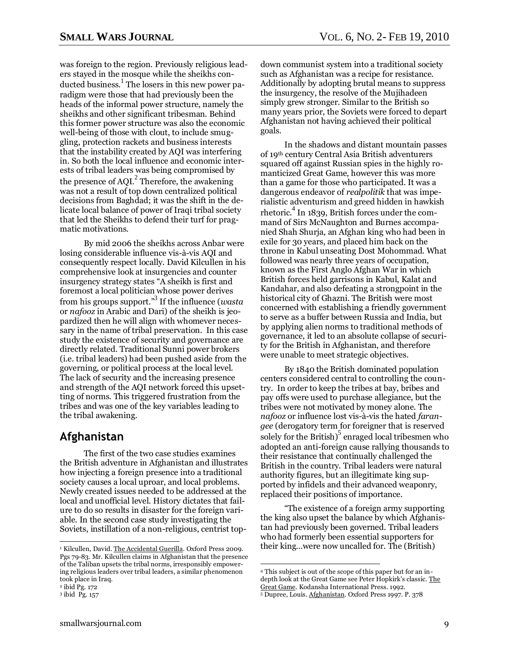was foreign to the region. Previously religious leaders stayed in the mosque while the sheikhs conducted business.<sup>1</sup> The losers in this new power paradigm were those that had previously been the heads of the informal power structure, namely the sheikhs and other significant tribesman. Behind this former power structure was also the economic well-being of those with clout, to include smuggling, protection rackets and business interests that the instability created by AQI was interfering in. So both the local influence and economic interests of tribal leaders was being compromised by the presence of  $AQI<sup>2</sup>$ . Therefore, the awakening was not a result of top down centralized political decisions from Baghdad; it was the shift in the delicate local balance of power of Iraqi tribal society that led the Sheikhs to defend their turf for pragmatic motivations.

By mid 2006 the sheikhs across Anbar were losing considerable influence vis-à-vis AQI and consequently respect locally. David Kilcullen in his comprehensive look at insurgencies and counter insurgency strategy states "A sheikh is first and foremost a local politician whose power derives from his groups support.<sup>3</sup> If the influence (*wasta* or *nafooz* in Arabic and Dari) of the sheikh is jeopardized then he will align with whomever necessary in the name of tribal preservation. In this case study the existence of security and governance are directly related. Traditional Sunni power brokers (i.e. tribal leaders) had been pushed aside from the governing, or political process at the local level. The lack of security and the increasing presence and strength of the AQI network forced this upsetting of norms. This triggered frustration from the tribes and was one of the key variables leading to the tribal awakening.

#### **Afghanistan**

The first of the two case studies examines the British adventure in Afghanistan and illustrates how injecting a foreign presence into a traditional society causes a local uproar, and local problems. Newly created issues needed to be addressed at the local and unofficial level. History dictates that failure to do so results in disaster for the foreign variable. In the second case study investigating the Soviets, instillation of a non-religious, centrist top-

 $\overline{a}$ 

down communist system into a traditional society such as Afghanistan was a recipe for resistance. Additionally by adopting brutal means to suppress the insurgency, the resolve of the Mujihadeen simply grew stronger. Similar to the British so many years prior, the Soviets were forced to depart Afghanistan not having achieved their political goals.

In the shadows and distant mountain passes of 19th century Central Asia British adventurers squared off against Russian spies in the highly romanticized Great Game, however this was more than a game for those who participated. It was a dangerous endeavor of *realpolitik* that was imperialistic adventurism and greed hidden in hawkish rhetoric.<sup>4</sup> In 1839, British forces under the command of Sirs McNaughton and Burnes accompanied Shah Shurja, an Afghan king who had been in exile for 30 years, and placed him back on the throne in Kabul unseating Dost Mohommad. What followed was nearly three years of occupation, known as the First Anglo Afghan War in which British forces held garrisons in Kabul, Kalat and Kandahar, and also defeating a strongpoint in the historical city of Ghazni. The British were most concerned with establishing a friendly government to serve as a buffer between Russia and India, but by applying alien norms to traditional methods of governance, it led to an absolute collapse of security for the British in Afghanistan, and therefore were unable to meet strategic objectives.

By 1840 the British dominated population centers considered central to controlling the country. In order to keep the tribes at bay, bribes and pay offs were used to purchase allegiance, but the tribes were not motivated by money alone. The *nafooz* or influence lost vis-à-vis the hated *farangee* (derogatory term for foreigner that is reserved solely for the British)<sup>5</sup> enraged local tribesmen who adopted an anti-foreign cause rallying thousands to their resistance that continually challenged the British in the country. Tribal leaders were natural authority figures, but an illegitimate king supported by infidels and their advanced weaponry, replaced their positions of importance.

―The existence of a foreign army supporting the king also upset the balance by which Afghanistan had previously been governed. Tribal leaders who had formerly been essential supporters for their king…were now uncalled for. The (British)

<sup>&</sup>lt;sup>1</sup> Kilcullen, David. The Accidental Guerilla. Oxford Press 2009. Pgs 79-83. Mr. Kilcullen claims in Afghanistan that the presence of the Taliban upsets the tribal norms, irresponsibly empowering religious leaders over tribal leaders, a similar phenomenon took place in Iraq.

<sup>2</sup> ibid Pg. 172

<sup>3</sup> ibid Pg. 157

<sup>4</sup> This subject is out of the scope of this paper but for an indepth look at the Great Game see Peter Hopkirk's classic. The Great Game. Kodansha International Press. 1992.

<sup>5</sup> Dupree, Louis. Afghanistan. Oxford Press 1997. P. 378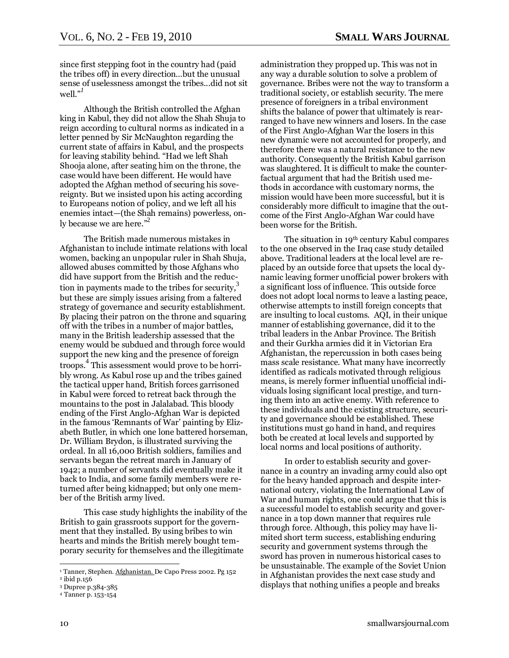since first stepping foot in the country had (paid the tribes off) in every direction…but the unusual sense of uselessness amongst the tribes...did not sit well. $^{J}$ 

Although the British controlled the Afghan king in Kabul, they did not allow the Shah Shuja to reign according to cultural norms as indicated in a letter penned by Sir McNaughton regarding the current state of affairs in Kabul, and the prospects for leaving stability behind. "Had we left Shah Shooja alone, after seating him on the throne, the case would have been different. He would have adopted the Afghan method of securing his sovereignty. But we insisted upon his acting according to Europeans notion of policy, and we left all his enemies intact—(the Shah remains) powerless, only because we are here."<sup>2</sup>

The British made numerous mistakes in Afghanistan to include intimate relations with local women, backing an unpopular ruler in Shah Shuja, allowed abuses committed by those Afghans who did have support from the British and the reduction in payments made to the tribes for security, $3$ but these are simply issues arising from a faltered strategy of governance and security establishment. By placing their patron on the throne and squaring off with the tribes in a number of major battles, many in the British leadership assessed that the enemy would be subdued and through force would support the new king and the presence of foreign troops.<sup>4</sup> This assessment would prove to be horribly wrong. As Kabul rose up and the tribes gained the tactical upper hand, British forces garrisoned in Kabul were forced to retreat back through the mountains to the post in Jalalabad. This bloody ending of the First Anglo-Afghan War is depicted in the famous 'Remnants of War' painting by Elizabeth Butler, in which one lone battered horseman, Dr. William Brydon, is illustrated surviving the ordeal. In all 16,000 British soldiers, families and servants began the retreat march in January of 1942; a number of servants did eventually make it back to India, and some family members were returned after being kidnapped; but only one member of the British army lived.

This case study highlights the inability of the British to gain grassroots support for the government that they installed. By using bribes to win hearts and minds the British merely bought temporary security for themselves and the illegitimate

administration they propped up. This was not in any way a durable solution to solve a problem of governance. Bribes were not the way to transform a traditional society, or establish security. The mere presence of foreigners in a tribal environment shifts the balance of power that ultimately is rearranged to have new winners and losers. In the case of the First Anglo-Afghan War the losers in this new dynamic were not accounted for properly, and therefore there was a natural resistance to the new authority. Consequently the British Kabul garrison was slaughtered. It is difficult to make the counterfactual argument that had the British used methods in accordance with customary norms, the mission would have been more successful, but it is considerably more difficult to imagine that the outcome of the First Anglo-Afghan War could have been worse for the British.

The situation in 19<sup>th</sup> century Kabul compares to the one observed in the Iraq case study detailed above. Traditional leaders at the local level are replaced by an outside force that upsets the local dynamic leaving former unofficial power brokers with a significant loss of influence. This outside force does not adopt local norms to leave a lasting peace, otherwise attempts to instill foreign concepts that are insulting to local customs. AQI, in their unique manner of establishing governance, did it to the tribal leaders in the Anbar Province. The British and their Gurkha armies did it in Victorian Era Afghanistan, the repercussion in both cases being mass scale resistance. What many have incorrectly identified as radicals motivated through religious means, is merely former influential unofficial individuals losing significant local prestige, and turning them into an active enemy. With reference to these individuals and the existing structure, security and governance should be established. These institutions must go hand in hand, and requires both be created at local levels and supported by local norms and local positions of authority.

In order to establish security and governance in a country an invading army could also opt for the heavy handed approach and despite international outcry, violating the International Law of War and human rights, one could argue that this is a successful model to establish security and governance in a top down manner that requires rule through force. Although, this policy may have limited short term success, establishing enduring security and government systems through the sword has proven in numerous historical cases to be unsustainable. The example of the Soviet Union in Afghanistan provides the next case study and displays that nothing unifies a people and breaks

<sup>&</sup>lt;sup>1</sup> Tanner, Stephen. <u>Afghanistan. </u>De Capo Press 2002. Pg 152

<sup>2</sup> ibid p.156

<sup>3</sup> Dupree p.384-385

<sup>4</sup> Tanner p. 153-154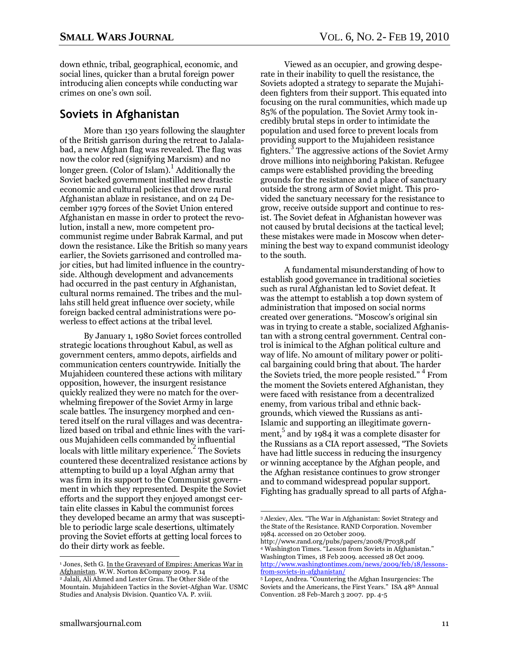down ethnic, tribal, geographical, economic, and social lines, quicker than a brutal foreign power introducing alien concepts while conducting war crimes on one's own soil.

#### **Soviets in Afghanistan**

More than 130 years following the slaughter of the British garrison during the retreat to Jalalabad, a new Afghan flag was revealed. The flag was now the color red (signifying Marxism) and no longer green. (Color of Islam). $\frac{1}{1}$  Additionally the Soviet backed government instilled new drastic economic and cultural policies that drove rural Afghanistan ablaze in resistance, and on 24 December 1979 forces of the Soviet Union entered Afghanistan en masse in order to protect the revolution, install a new, more competent procommunist regime under Babrak Karmal, and put down the resistance. Like the British so many years earlier, the Soviets garrisoned and controlled major cities, but had limited influence in the countryside. Although development and advancements had occurred in the past century in Afghanistan, cultural norms remained. The tribes and the mullahs still held great influence over society, while foreign backed central administrations were powerless to effect actions at the tribal level.

By January 1, 1980 Soviet forces controlled strategic locations throughout Kabul, as well as government centers, ammo depots, airfields and communication centers countrywide. Initially the Mujahideen countered these actions with military opposition, however, the insurgent resistance quickly realized they were no match for the overwhelming firepower of the Soviet Army in large scale battles. The insurgency morphed and centered itself on the rural villages and was decentralized based on tribal and ethnic lines with the various Mujahideen cells commanded by influential locals with little military experience.<sup>2</sup> The Soviets countered these decentralized resistance actions by attempting to build up a loyal Afghan army that was firm in its support to the Communist government in which they represented. Despite the Soviet efforts and the support they enjoyed amongst certain elite classes in Kabul the communist forces they developed became an army that was susceptible to periodic large scale desertions, ultimately proving the Soviet efforts at getting local forces to do their dirty work as feeble.

Viewed as an occupier, and growing desperate in their inability to quell the resistance, the Soviets adopted a strategy to separate the Mujahideen fighters from their support. This equated into focusing on the rural communities, which made up 85% of the population. The Soviet Army took incredibly brutal steps in order to intimidate the population and used force to prevent locals from providing support to the Mujahideen resistance  $\frac{3}{7}$  The aggressive actions of the Soviet Army drove millions into neighboring Pakistan. Refugee camps were established providing the breeding grounds for the resistance and a place of sanctuary outside the strong arm of Soviet might. This provided the sanctuary necessary for the resistance to grow, receive outside support and continue to resist. The Soviet defeat in Afghanistan however was not caused by brutal decisions at the tactical level; these mistakes were made in Moscow when determining the best way to expand communist ideology to the south.

A fundamental misunderstanding of how to establish good governance in traditional societies such as rural Afghanistan led to Soviet defeat. It was the attempt to establish a top down system of administration that imposed on social norms created over generations. "Moscow's original sin was in trying to create a stable, socialized Afghanistan with a strong central government. Central control is inimical to the Afghan political culture and way of life. No amount of military power or political bargaining could bring that about. The harder the Soviets tried, the more people resisted." <sup>4</sup> From the moment the Soviets entered Afghanistan, they were faced with resistance from a decentralized enemy, from various tribal and ethnic backgrounds, which viewed the Russians as anti-Islamic and supporting an illegitimate government,<sup>5</sup> and by 1984 it was a complete disaster for the Russians as a CIA report assessed, "The Soviets have had little success in reducing the insurgency or winning acceptance by the Afghan people, and the Afghan resistance continues to grow stronger and to command widespread popular support. Fighting has gradually spread to all parts of Afgha-

<sup>&</sup>lt;sup>1</sup> Jones, Seth G. In the Graveyard of Empires: Americas War in Afghanistan. W.W. Norton &Company 2009. P.14 <sup>2</sup> Jalali, Ali Ahmed and Lester Grau. The Other Side of the Mountain. Mujahideen Tactics in the Soviet-Afghan War. USMC Studies and Analysis Division. Quantico VA. P. xviii.

 $\overline{a}$ <sup>3</sup> Alexiev, Alex. ―The War in Afghanistan: Soviet Strategy and the State of the Resistance. RAND Corporation. November 1984. accessed on 20 October 2009. http://www.rand.org/pubs/papers/2008/P7038.pdf

<sup>&</sup>lt;sup>4</sup> Washington Times. "Lesson from Soviets in Afghanistan." Washington Times, 18 Feb 2009. accessed 28 Oct 2009. [http://www.washingtontimes.com/news/2009/feb/18/lessons](http://www.washingtontimes.com/news/2009/feb/18/lessons-from-soviets-in-afghanistan/)[from-soviets-in-afghanistan/](http://www.washingtontimes.com/news/2009/feb/18/lessons-from-soviets-in-afghanistan/)

<sup>5</sup> Lopez, Andrea. ―Countering the Afghan Insurgencies: The Soviets and the Americans, the First Years." ISA 48<sup>th</sup> Annual Convention. 28 Feb-March 3 2007. pp. 4-5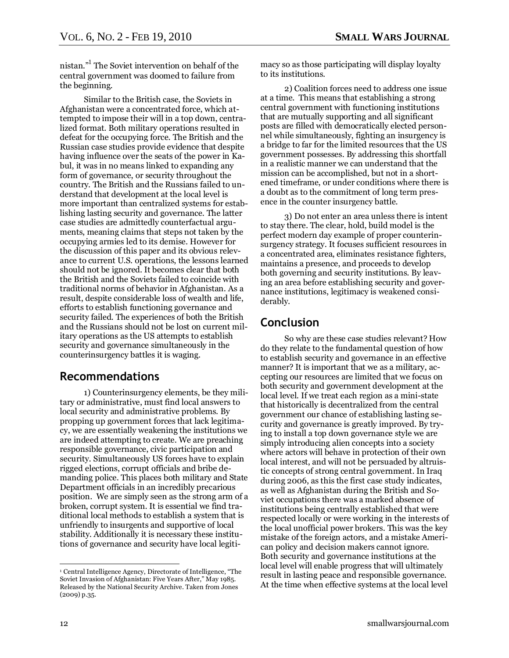nistan."<sup>1</sup> The Soviet intervention on behalf of the central government was doomed to failure from the beginning.

Similar to the British case, the Soviets in Afghanistan were a concentrated force, which attempted to impose their will in a top down, centralized format. Both military operations resulted in defeat for the occupying force. The British and the Russian case studies provide evidence that despite having influence over the seats of the power in Kabul, it was in no means linked to expanding any form of governance, or security throughout the country. The British and the Russians failed to understand that development at the local level is more important than centralized systems for establishing lasting security and governance. The latter case studies are admittedly counterfactual arguments, meaning claims that steps not taken by the occupying armies led to its demise. However for the discussion of this paper and its obvious relevance to current U.S. operations, the lessons learned should not be ignored. It becomes clear that both the British and the Soviets failed to coincide with traditional norms of behavior in Afghanistan. As a result, despite considerable loss of wealth and life, efforts to establish functioning governance and security failed. The experiences of both the British and the Russians should not be lost on current military operations as the US attempts to establish security and governance simultaneously in the counterinsurgency battles it is waging.

#### **Recommendations**

1) Counterinsurgency elements, be they military or administrative, must find local answers to local security and administrative problems. By propping up government forces that lack legitimacy, we are essentially weakening the institutions we are indeed attempting to create. We are preaching responsible governance, civic participation and security. Simultaneously US forces have to explain rigged elections, corrupt officials and bribe demanding police. This places both military and State Department officials in an incredibly precarious position. We are simply seen as the strong arm of a broken, corrupt system. It is essential we find traditional local methods to establish a system that is unfriendly to insurgents and supportive of local stability. Additionally it is necessary these institutions of governance and security have local legitimacy so as those participating will display loyalty to its institutions.

2) Coalition forces need to address one issue at a time. This means that establishing a strong central government with functioning institutions that are mutually supporting and all significant posts are filled with democratically elected personnel while simultaneously, fighting an insurgency is a bridge to far for the limited resources that the US government possesses. By addressing this shortfall in a realistic manner we can understand that the mission can be accomplished, but not in a shortened timeframe, or under conditions where there is a doubt as to the commitment of long term presence in the counter insurgency battle.

3) Do not enter an area unless there is intent to stay there. The clear, hold, build model is the perfect modern day example of proper counterinsurgency strategy. It focuses sufficient resources in a concentrated area, eliminates resistance fighters, maintains a presence, and proceeds to develop both governing and security institutions. By leaving an area before establishing security and governance institutions, legitimacy is weakened considerably.

#### **Conclusion**

So why are these case studies relevant? How do they relate to the fundamental question of how to establish security and governance in an effective manner? It is important that we as a military, accepting our resources are limited that we focus on both security and government development at the local level. If we treat each region as a mini-state that historically is decentralized from the central government our chance of establishing lasting security and governance is greatly improved. By trying to install a top down governance style we are simply introducing alien concepts into a society where actors will behave in protection of their own local interest, and will not be persuaded by altruistic concepts of strong central government. In Iraq during 2006, as this the first case study indicates, as well as Afghanistan during the British and Soviet occupations there was a marked absence of institutions being centrally established that were respected locally or were working in the interests of the local unofficial power brokers. This was the key mistake of the foreign actors, and a mistake American policy and decision makers cannot ignore. Both security and governance institutions at the local level will enable progress that will ultimately result in lasting peace and responsible governance. At the time when effective systems at the local level

<sup>&</sup>lt;sup>1</sup> Central Intelligence Agency, Directorate of Intelligence, "The Soviet Invasion of Afghanistan: Five Years After," May 1985. Released by the National Security Archive. Taken from Jones (2009) p.35.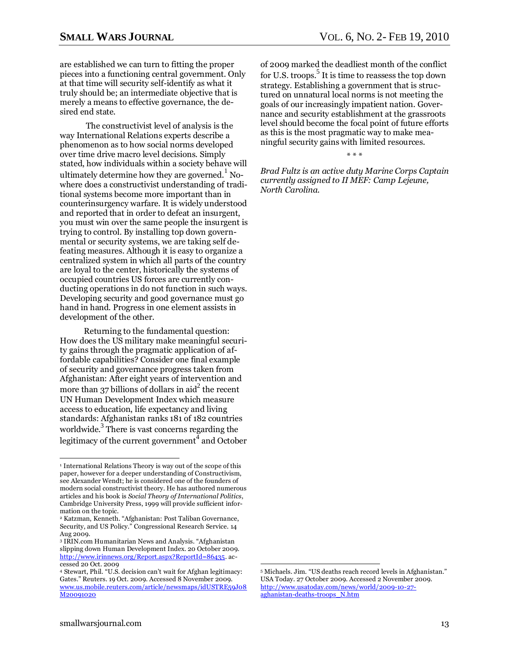are established we can turn to fitting the proper pieces into a functioning central government. Only at that time will security self-identify as what it truly should be; an intermediate objective that is merely a means to effective governance, the desired end state.

The constructivist level of analysis is the way International Relations experts describe a phenomenon as to how social norms developed over time drive macro level decisions. Simply stated, how individuals within a society behave will ultimately determine how they are governed.<sup>1</sup> Nowhere does a constructivist understanding of traditional systems become more important than in counterinsurgency warfare. It is widely understood and reported that in order to defeat an insurgent, you must win over the same people the insurgent is trying to control. By installing top down governmental or security systems, we are taking self defeating measures. Although it is easy to organize a centralized system in which all parts of the country are loyal to the center, historically the systems of occupied countries US forces are currently conducting operations in do not function in such ways. Developing security and good governance must go hand in hand. Progress in one element assists in development of the other.

Returning to the fundamental question: How does the US military make meaningful security gains through the pragmatic application of affordable capabilities? Consider one final example of security and governance progress taken from Afghanistan: After eight years of intervention and more than 37 billions of dollars in aid<sup>2</sup> the recent UN Human Development Index which measure access to education, life expectancy and living standards: Afghanistan ranks 181 of 182 countries worldwide.<sup>3</sup> There is vast concerns regarding the legitimacy of the current government  $\tilde{4}$  and October of 2009 marked the deadliest month of the conflict for U.S. troops.<sup>5</sup> It is time to reassess the top down strategy. Establishing a government that is structured on unnatural local norms is not meeting the goals of our increasingly impatient nation. Governance and security establishment at the grassroots level should become the focal point of future efforts as this is the most pragmatic way to make meaningful security gains with limited resources.

\* \* \*

*Brad Fultz is an active duty Marine Corps Captain currently assigned to II MEF: Camp Lejeune, North Carolina.* 

 $\overline{a}$ 

<sup>&</sup>lt;sup>1</sup> International Relations Theory is way out of the scope of this paper, however for a deeper understanding of Constructivism, see Alexander Wendt; he is considered one of the founders of modern social constructivist theory. He has authored numerous articles and his book is *Social Theory of International Politics*, Cambridge University Press, 1999 will provide sufficient information on the topic.

<sup>&</sup>lt;sup>2</sup> Katzman, Kenneth. "Afghanistan: Post Taliban Governance, Security, and US Policy." Congressional Research Service. 14 Aug 2009.

<sup>&</sup>lt;sup>3</sup> IRIN.com Humanitarian News and Analysis. "Afghanistan slipping down Human Development Index. 20 October 2009. [http://www.irinnews.org/Report.aspx?ReportId=86435.](http://www.irinnews.org/Report.aspx?ReportId=86435) accessed 20 Oct. 2009

<sup>4</sup> Stewart, Phil. "U.S. decision can't wait for Afghan legitimacy: Gates." Reuters. 19 Oct. 2009. Accessed 8 November 2009. [www.us.mobile.reuters.com/article/newsmaps/idUSTRE59J08](http://www.us.mobile.reuters.com/article/newsmaps/idUSTRE59J08M20091020) [M20091020](http://www.us.mobile.reuters.com/article/newsmaps/idUSTRE59J08M20091020)

<sup>&</sup>lt;sup>5</sup> Michaels. Jim. "US deaths reach record levels in Afghanistan." USA Today. 27 October 2009. Accessed 2 November 2009. [http://www.usatoday.com/news/world/2009-10-27](http://www.usatoday.com/news/world/2009-10-27-aghanistan-deaths-troops_N.htm) [aghanistan-deaths-troops\\_N.htm](http://www.usatoday.com/news/world/2009-10-27-aghanistan-deaths-troops_N.htm)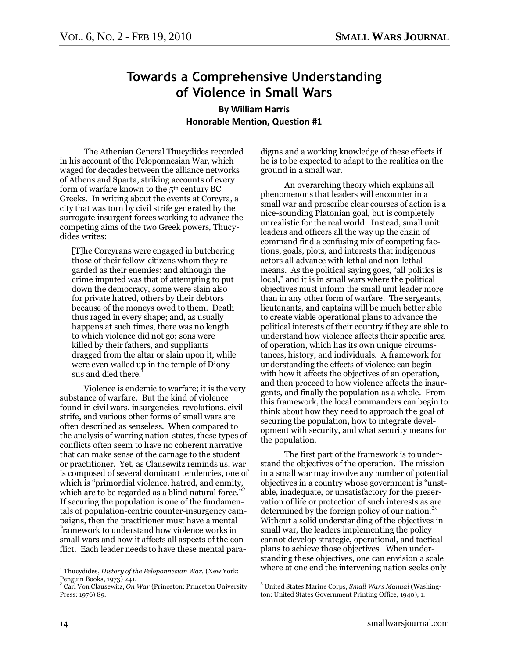## <span id="page-13-0"></span>**Towards a Comprehensive Understanding of Violence in Small Wars**

**By William Harris Honorable Mention, Question #1**

The Athenian General Thucydides recorded in his account of the Peloponnesian War, which waged for decades between the alliance networks of Athens and Sparta, striking accounts of every form of warfare known to the 5<sup>th</sup> century BC Greeks. In writing about the events at Corcyra, a city that was torn by civil strife generated by the surrogate insurgent forces working to advance the competing aims of the two Greek powers, Thucydides writes:

[T]he Corcyrans were engaged in butchering those of their fellow-citizens whom they regarded as their enemies: and although the crime imputed was that of attempting to put down the democracy, some were slain also for private hatred, others by their debtors because of the moneys owed to them. Death thus raged in every shape; and, as usually happens at such times, there was no length to which violence did not go; sons were killed by their fathers, and suppliants dragged from the altar or slain upon it; while were even walled up in the temple of Dionysus and died there.<sup>7</sup>

Violence is endemic to warfare; it is the very substance of warfare. But the kind of violence found in civil wars, insurgencies, revolutions, civil strife, and various other forms of small wars are often described as senseless. When compared to the analysis of warring nation-states, these types of conflicts often seem to have no coherent narrative that can make sense of the carnage to the student or practitioner. Yet, as Clausewitz reminds us, war is composed of several dominant tendencies, one of which is "primordial violence, hatred, and enmity, which are to be regarded as a blind natural force.<sup>32</sup> If securing the population is one of the fundamentals of population-centric counter-insurgency campaigns, then the practitioner must have a mental framework to understand how violence works in small wars and how it affects all aspects of the conflict. Each leader needs to have these mental paradigms and a working knowledge of these effects if he is to be expected to adapt to the realities on the ground in a small war.

An overarching theory which explains all phenomenons that leaders will encounter in a small war and proscribe clear courses of action is a nice-sounding Platonian goal, but is completely unrealistic for the real world. Instead, small unit leaders and officers all the way up the chain of command find a confusing mix of competing factions, goals, plots, and interests that indigenous actors all advance with lethal and non-lethal means. As the political saying goes, "all politics is local," and it is in small wars where the political objectives must inform the small unit leader more than in any other form of warfare. The sergeants, lieutenants, and captains will be much better able to create viable operational plans to advance the political interests of their country if they are able to understand how violence affects their specific area of operation, which has its own unique circumstances, history, and individuals. A framework for understanding the effects of violence can begin with how it affects the objectives of an operation, and then proceed to how violence affects the insurgents, and finally the population as a whole. From this framework, the local commanders can begin to think about how they need to approach the goal of securing the population, how to integrate development with security, and what security means for the population.

The first part of the framework is to understand the objectives of the operation. The mission in a small war may involve any number of potential objectives in a country whose government is "unstable, inadequate, or unsatisfactory for the preservation of life or protection of such interests as are determined by the foreign policy of our nation.<sup>3</sup>" Without a solid understanding of the objectives in small war, the leaders implementing the policy cannot develop strategic, operational, and tactical plans to achieve those objectives. When understanding these objectives, one can envision a scale where at one end the intervening nation seeks only

 1 Thucydides, *History of the Peloponnesian War,* (New York: Penguin Books, 1973) 241.

<sup>2</sup> Carl Von Clausewitz, *On War* (Princeton: Princeton University Press: 1976) 89.

 $\overline{a}$ <sup>3</sup> United States Marine Corps, *Small Wars Manual* (Washington: United States Government Printing Office, 1940), 1.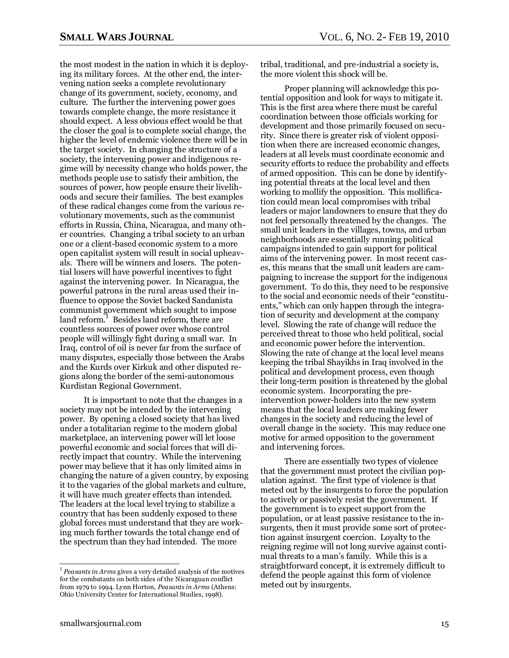the most modest in the nation in which it is deploying its military forces. At the other end, the intervening nation seeks a complete revolutionary change of its government, society, economy, and culture. The further the intervening power goes towards complete change, the more resistance it should expect. A less obvious effect would be that the closer the goal is to complete social change, the higher the level of endemic violence there will be in the target society. In changing the structure of a society, the intervening power and indigenous regime will by necessity change who holds power, the methods people use to satisfy their ambition, the sources of power, how people ensure their livelihoods and secure their families. The best examples of these radical changes come from the various revolutionary movements, such as the communist efforts in Russia, China, Nicaragua, and many other countries. Changing a tribal society to an urban one or a client-based economic system to a more open capitalist system will result in social upheavals. There will be winners and losers. The potential losers will have powerful incentives to fight against the intervening power. In Nicaragua, the powerful patrons in the rural areas used their influence to oppose the Soviet backed Sandanista communist government which sought to impose land reform.<sup>1</sup> Besides land reform, there are countless sources of power over whose control people will willingly fight during a small war. In Iraq, control of oil is never far from the surface of many disputes, especially those between the Arabs and the Kurds over Kirkuk and other disputed regions along the border of the semi-autonomous Kurdistan Regional Government.

It is important to note that the changes in a society may not be intended by the intervening power. By opening a closed society that has lived under a totalitarian regime to the modern global marketplace, an intervening power will let loose powerful economic and social forces that will directly impact that country. While the intervening power may believe that it has only limited aims in changing the nature of a given country, by exposing it to the vagaries of the global markets and culture, it will have much greater effects than intended. The leaders at the local level trying to stabilize a country that has been suddenly exposed to these global forces must understand that they are working much further towards the total change end of the spectrum than they had intended. The more

tribal, traditional, and pre-industrial a society is, the more violent this shock will be.

Proper planning will acknowledge this potential opposition and look for ways to mitigate it. This is the first area where there must be careful coordination between those officials working for development and those primarily focused on security. Since there is greater risk of violent opposition when there are increased economic changes, leaders at all levels must coordinate economic and security efforts to reduce the probability and effects of armed opposition. This can be done by identifying potential threats at the local level and then working to mollify the opposition. This mollification could mean local compromises with tribal leaders or major landowners to ensure that they do not feel personally threatened by the changes. The small unit leaders in the villages, towns, and urban neighborhoods are essentially running political campaigns intended to gain support for political aims of the intervening power. In most recent cases, this means that the small unit leaders are campaigning to increase the support for the indigenous government. To do this, they need to be responsive to the social and economic needs of their "constituents," which can only happen through the integration of security and development at the company level. Slowing the rate of change will reduce the perceived threat to those who held political, social and economic power before the intervention. Slowing the rate of change at the local level means keeping the tribal Shayikhs in Iraq involved in the political and development process, even though their long-term position is threatened by the global economic system. Incorporating the preintervention power-holders into the new system means that the local leaders are making fewer changes in the society and reducing the level of overall change in the society. This may reduce one motive for armed opposition to the government and intervening forces.

There are essentially two types of violence that the government must protect the civilian population against. The first type of violence is that meted out by the insurgents to force the population to actively or passively resist the government. If the government is to expect support from the population, or at least passive resistance to the insurgents, then it must provide some sort of protection against insurgent coercion. Loyalty to the reigning regime will not long survive against continual threats to a man's family. While this is a straightforward concept, it is extremely difficult to defend the people against this form of violence meted out by insurgents.

<sup>1</sup> *Peasants in Arms* gives a very detailed analysis of the motives for the combatants on both sides of the Nicaraguan conflict from 1979 to 1994. Lynn Horton, *Peasants in Arms* (Athens: Ohio University Center for International Studies, 1998).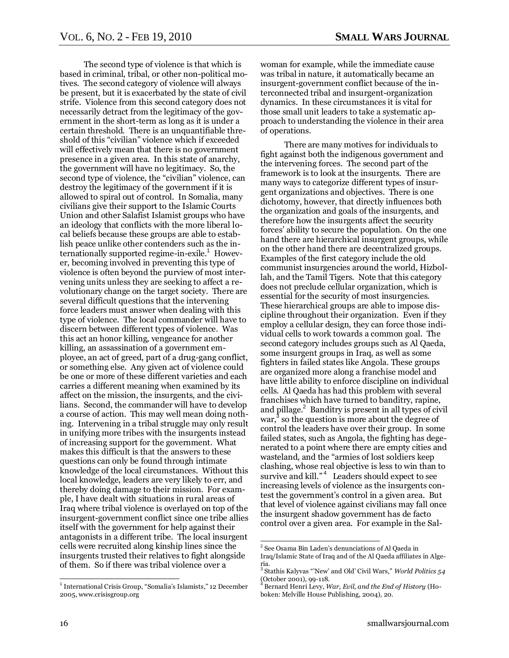The second type of violence is that which is based in criminal, tribal, or other non-political motives. The second category of violence will always be present, but it is exacerbated by the state of civil strife. Violence from this second category does not necessarily detract from the legitimacy of the government in the short-term as long as it is under a certain threshold. There is an unquantifiable threshold of this "civilian" violence which if exceeded will effectively mean that there is no government presence in a given area. In this state of anarchy, the government will have no legitimacy. So, the second type of violence, the "civilian" violence, can destroy the legitimacy of the government if it is allowed to spiral out of control. In Somalia, many civilians give their support to the Islamic Courts Union and other Salafist Islamist groups who have an ideology that conflicts with the more liberal local beliefs because these groups are able to establish peace unlike other contenders such as the internationally supported regime-in-exile.<sup>1</sup> However, becoming involved in preventing this type of violence is often beyond the purview of most intervening units unless they are seeking to affect a revolutionary change on the target society. There are several difficult questions that the intervening force leaders must answer when dealing with this type of violence. The local commander will have to discern between different types of violence. Was this act an honor killing, vengeance for another killing, an assassination of a government employee, an act of greed, part of a drug-gang conflict, or something else. Any given act of violence could be one or more of these different varieties and each carries a different meaning when examined by its affect on the mission, the insurgents, and the civilians. Second, the commander will have to develop a course of action. This may well mean doing nothing. Intervening in a tribal struggle may only result in unifying more tribes with the insurgents instead of increasing support for the government. What makes this difficult is that the answers to these questions can only be found through intimate knowledge of the local circumstances. Without this local knowledge, leaders are very likely to err, and thereby doing damage to their mission. For example, I have dealt with situations in rural areas of Iraq where tribal violence is overlayed on top of the insurgent-government conflict since one tribe allies itself with the government for help against their antagonists in a different tribe. The local insurgent cells were recruited along kinship lines since the insurgents trusted their relatives to fight alongside of them. So if there was tribal violence over a

woman for example, while the immediate cause was tribal in nature, it automatically became an insurgent-government conflict because of the interconnected tribal and insurgent-organization dynamics. In these circumstances it is vital for those small unit leaders to take a systematic approach to understanding the violence in their area of operations.

There are many motives for individuals to fight against both the indigenous government and the intervening forces. The second part of the framework is to look at the insurgents. There are many ways to categorize different types of insurgent organizations and objectives. There is one dichotomy, however, that directly influences both the organization and goals of the insurgents, and therefore how the insurgents affect the security forces' ability to secure the population. On the one hand there are hierarchical insurgent groups, while on the other hand there are decentralized groups. Examples of the first category include the old communist insurgencies around the world, Hizbollah, and the Tamil Tigers. Note that this category does not preclude cellular organization, which is essential for the security of most insurgencies. These hierarchical groups are able to impose discipline throughout their organization. Even if they employ a cellular design, they can force those individual cells to work towards a common goal. The second category includes groups such as Al Qaeda, some insurgent groups in Iraq, as well as some fighters in failed states like Angola. These groups are organized more along a franchise model and have little ability to enforce discipline on individual cells. Al Qaeda has had this problem with several franchises which have turned to banditry, rapine, and pillage.<sup>2</sup> Banditry is present in all types of civil war, 3 so the question is more about the degree of control the leaders have over their group. In some failed states, such as Angola, the fighting has degenerated to a point where there are empty cities and wasteland, and the "armies of lost soldiers keep clashing, whose real objective is less to win than to survive and kill."<sup>4</sup> Leaders should expect to see increasing levels of violence as the insurgents contest the government's control in a given area. But that level of violence against civilians may fall once the insurgent shadow government has de facto control over a given area. For example in the Sal-

 $\overline{a}$ <sup>1</sup> International Crisis Group, "Somalia's Islamists," 12 December 2005, www.crisisgroup.org

 2 See Osama Bin Laden's denunciations of Al Qaeda in Iraq/Islamic State of Iraq and of the Al Qaeda affiliates in Algeria.<br><sup>3</sup> Stathis Kalyvas "'New' and Old' Civil Wars," *World Politics 54* 

<sup>(</sup>October 2001), 99-118.

<sup>4</sup> Bernard Henri Levy, *War, Evil, and the End of History* (Hoboken: Melville House Publishing, 2004), 20.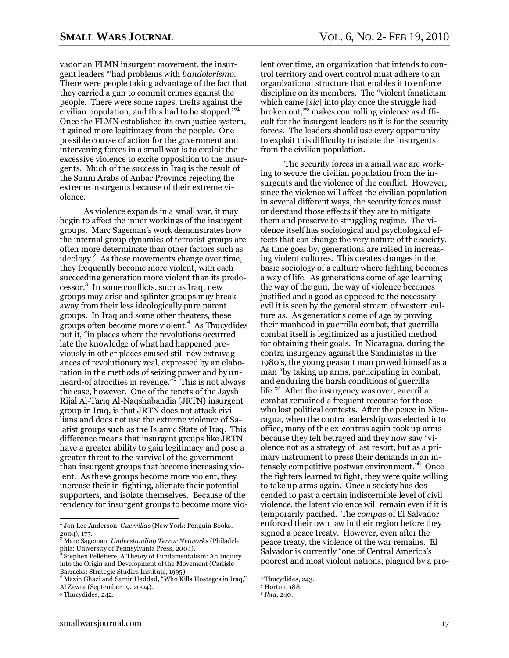vadorian FLMN insurgent movement, the insurgent leaders ―'had problems with *bandolerismo*. There were people taking advantage of the fact that they carried a gun to commit crimes against the people. There were some rapes, thefts against the civilian population, and this had to be stopped. $"$ <sup>1</sup> Once the FLMN established its own justice system, it gained more legitimacy from the people. One possible course of action for the government and intervening forces in a small war is to exploit the excessive violence to excite opposition to the insurgents. Much of the success in Iraq is the result of the Sunni Arabs of Anbar Province rejecting the extreme insurgents because of their extreme violence.

As violence expands in a small war, it may begin to affect the inner workings of the insurgent groups. Marc Sageman's work demonstrates how the internal group dynamics of terrorist groups are often more determinate than other factors such as ideology.<sup>2</sup> As these movements change over time, they frequently become more violent, with each succeeding generation more violent than its predecessor. 3 In some conflicts, such as Iraq, new groups may arise and splinter groups may break away from their less ideologically pure parent groups. In Iraq and some other theaters, these groups often become more violent. $4$  As Thucydides put it, "in places where the revolutions occurred late the knowledge of what had happened previously in other places caused still new extravagances of revolutionary zeal, expressed by an elaboration in the methods of seizing power and by unheard-of atrocities in revenge."<sup>5</sup> This is not always the case, however. One of the tenets of the Jaysh Rijal Al-Tariq Al-Naqshabandia (JRTN) insurgent group in Iraq, is that JRTN does not attack civilians and does not use the extreme violence of Salafist groups such as the Islamic State of Iraq. This difference means that insurgent groups like JRTN have a greater ability to gain legitimacy and pose a greater threat to the survival of the government than insurgent groups that become increasing violent. As these groups become more violent, they increase their in-fighting, alienate their potential supporters, and isolate themselves. Because of the tendency for insurgent groups to become more violent over time, an organization that intends to control territory and overt control must adhere to an organizational structure that enables it to enforce discipline on its members. The "violent fanaticism which came [*sic*] into play once the struggle had broken out."<sup>6</sup> makes controlling violence as difficult for the insurgent leaders as it is for the security forces. The leaders should use every opportunity to exploit this difficulty to isolate the insurgents from the civilian population.

The security forces in a small war are working to secure the civilian population from the insurgents and the violence of the conflict. However, since the violence will affect the civilian population in several different ways, the security forces must understand those effects if they are to mitigate them and preserve to struggling regime. The violence itself has sociological and psychological effects that can change the very nature of the society. As time goes by, generations are raised in increasing violent cultures. This creates changes in the basic sociology of a culture where fighting becomes a way of life. As generations come of age learning the way of the gun, the way of violence becomes justified and a good as opposed to the necessary evil it is seen by the general stream of western culture as. As generations come of age by proving their manhood in guerrilla combat, that guerrilla combat itself is legitimized as a justified method for obtaining their goals. In Nicaragua, during the contra insurgency against the Sandinistas in the 1980's, the young peasant man proved himself as a man "by taking up arms, participating in combat, and enduring the harsh conditions of guerrilla life."<sup>7</sup> After the insurgency was over, guerrilla combat remained a frequent recourse for those who lost political contests. After the peace in Nicaragua, when the contra leadership was elected into office, many of the ex-contras again took up arms because they felt betrayed and they now saw "violence not as a strategy of last resort, but as a primary instrument to press their demands in an intensely competitive postwar environment."<sup>8</sup> Once the fighters learned to fight, they were quite willing to take up arms again. Once a society has descended to past a certain indiscernible level of civil violence, the latent violence will remain even if it is temporarily pacified. The *compas* of El Salvador enforced their own law in their region before they signed a peace treaty. However, even after the peace treaty, the violence of the war remains. El Salvador is currently "one of Central America's poorest and most violent nations, plagued by a pro-

 1 Jon Lee Anderson, *Guerrillas* (New York: Penguin Books,

<sup>2004), 177.</sup> <sup>2</sup> Marc Sageman, *Understanding Terror Networks* (Philadelphia: University of Pennsylvania Press, 2004). 3

Stephen Pelletiere, A Theory of Fundamentalism: An Inquiry into the Origin and Development of the Movement (Carlisle Barracks: Strategic Studies Institute, 1995).

<sup>&</sup>lt;sup>4</sup> Mazin Ghazi and Samir Haddad, "Who Kills Hostages in Iraq," Al Zawra (September 19, 2004).

<sup>5</sup> Thucydides, 242.

 $\overline{a}$ <sup>6</sup> Thucydides, 243.

<sup>7</sup> Horton, 188.

<sup>8</sup> *Ibid,* 240.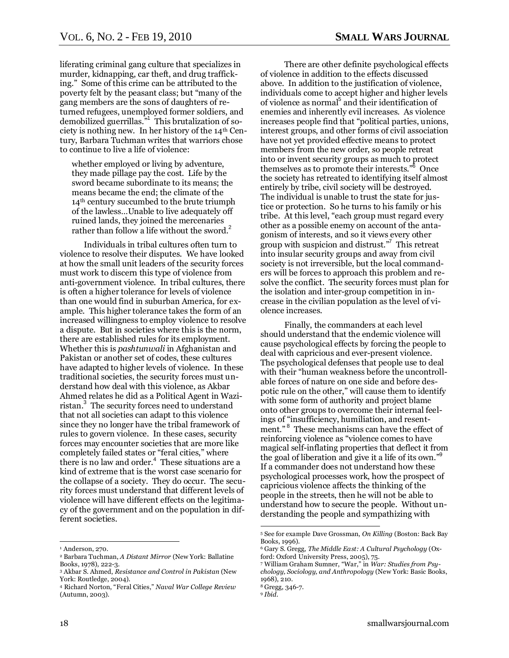liferating criminal gang culture that specializes in murder, kidnapping, car theft, and drug trafficking." Some of this crime can be attributed to the poverty felt by the peasant class; but "many of the gang members are the sons of daughters of returned refugees, unemployed former soldiers, and demobilized guerrillas."<sup>1</sup> This brutalization of society is nothing new. In her history of the 14th Century, Barbara Tuchman writes that warriors chose to continue to live a life of violence:

whether employed or living by adventure, they made pillage pay the cost. Life by the sword became subordinate to its means; the means became the end; the climate of the 14th century succumbed to the brute triumph of the lawless…Unable to live adequately off ruined lands, they joined the mercenaries rather than follow a life without the sword.<sup>2</sup>

Individuals in tribal cultures often turn to violence to resolve their disputes. We have looked at how the small unit leaders of the security forces must work to discern this type of violence from anti-government violence. In tribal cultures, there is often a higher tolerance for levels of violence than one would find in suburban America, for example. This higher tolerance takes the form of an increased willingness to employ violence to resolve a dispute. But in societies where this is the norm, there are established rules for its employment. Whether this is *pashtunwali* in Afghanistan and Pakistan or another set of codes, these cultures have adapted to higher levels of violence. In these traditional societies, the security forces must understand how deal with this violence, as Akbar Ahmed relates he did as a Political Agent in Waziristan.<sup>3</sup> The security forces need to understand that not all societies can adapt to this violence since they no longer have the tribal framework of rules to govern violence. In these cases, security forces may encounter societies that are more like completely failed states or "feral cities," where there is no law and order.<sup>4</sup> These situations are a kind of extreme that is the worst case scenario for the collapse of a society. They do occur. The security forces must understand that different levels of violence will have different effects on the legitimacy of the government and on the population in different societies.

There are other definite psychological effects of violence in addition to the effects discussed above. In addition to the justification of violence, individuals come to accept higher and higher levels of violence as normal 5 and their identification of enemies and inherently evil increases. As violence increases people find that "political parties, unions, interest groups, and other forms of civil association have not yet provided effective means to protect members from the new order, so people retreat into or invent security groups as much to protect themselves as to promote their interests."<sup>6</sup> Once the society has retreated to identifying itself almost entirely by tribe, civil society will be destroyed. The individual is unable to trust the state for justice or protection. So he turns to his family or his tribe. At this level, "each group must regard every other as a possible enemy on account of the antagonism of interests, and so it views every other group with suspicion and distrust."<sup>7</sup> This retreat into insular security groups and away from civil society is not irreversible, but the local commanders will be forces to approach this problem and resolve the conflict. The security forces must plan for the isolation and inter-group competition in increase in the civilian population as the level of violence increases.

Finally, the commanders at each level should understand that the endemic violence will cause psychological effects by forcing the people to deal with capricious and ever-present violence. The psychological defenses that people use to deal with their "human weakness before the uncontrollable forces of nature on one side and before despotic rule on the other," will cause them to identify with some form of authority and project blame onto other groups to overcome their internal feelings of "insufficiency, humiliation, and resentment."<sup>8</sup> These mechanisms can have the effect of reinforcing violence as "violence comes to have magical self-inflating properties that deflect it from the goal of liberation and give it a life of its own."<sup>9</sup> If a commander does not understand how these psychological processes work, how the prospect of capricious violence affects the thinking of the people in the streets, then he will not be able to understand how to secure the people. Without understanding the people and sympathizing with

 $\overline{a}$ <sup>1</sup> Anderson, 270.

<sup>2</sup> Barbara Tuchman, *A Distant Mirror* (New York: Ballatine Books, 1978), 222-3.

<sup>3</sup> Akbar S. Ahmed, *Resistance and Control in Pakistan* (New York: Routledge, 2004).

<sup>4</sup> Richard Norton, ―Feral Cities,‖ *Naval War College Review* (Autumn, 2003).

<sup>5</sup> See for example Dave Grossman, *On Killing* (Boston: Back Bay Books, 1996).

<sup>6</sup> Gary S. Gregg, *The Middle East: A Cultural Psychology* (Oxford: Oxford University Press, 2005), 75.

<sup>&</sup>lt;sup>7</sup> William Graham Sumner, "War," in *War: Studies from Psuchology, Sociology, and Anthropology* (New York: Basic Books, 1968), 210.

<sup>8</sup> Gregg, 346-7.

<sup>9</sup> *Ibid.*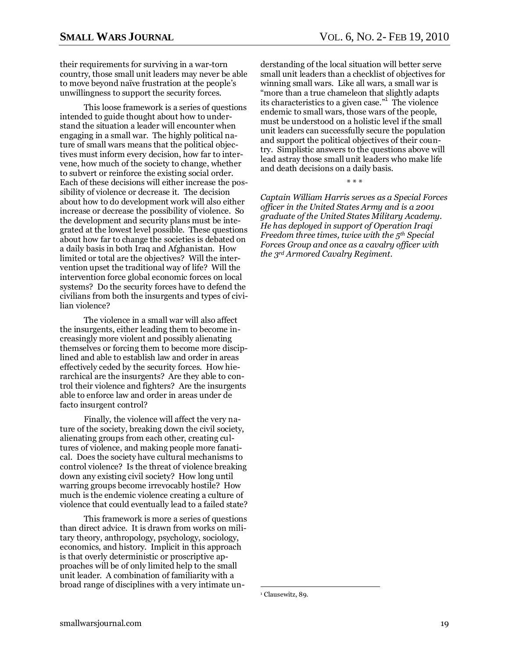their requirements for surviving in a war-torn country, those small unit leaders may never be able to move beyond naïve frustration at the people's unwillingness to support the security forces.

This loose framework is a series of questions intended to guide thought about how to understand the situation a leader will encounter when engaging in a small war. The highly political nature of small wars means that the political objectives must inform every decision, how far to intervene, how much of the society to change, whether to subvert or reinforce the existing social order. Each of these decisions will either increase the possibility of violence or decrease it. The decision about how to do development work will also either increase or decrease the possibility of violence. So the development and security plans must be integrated at the lowest level possible. These questions about how far to change the societies is debated on a daily basis in both Iraq and Afghanistan. How limited or total are the objectives? Will the intervention upset the traditional way of life? Will the intervention force global economic forces on local systems? Do the security forces have to defend the civilians from both the insurgents and types of civilian violence?

The violence in a small war will also affect the insurgents, either leading them to become increasingly more violent and possibly alienating themselves or forcing them to become more disciplined and able to establish law and order in areas effectively ceded by the security forces. How hierarchical are the insurgents? Are they able to control their violence and fighters? Are the insurgents able to enforce law and order in areas under de facto insurgent control?

Finally, the violence will affect the very nature of the society, breaking down the civil society, alienating groups from each other, creating cultures of violence, and making people more fanatical. Does the society have cultural mechanisms to control violence? Is the threat of violence breaking down any existing civil society? How long until warring groups become irrevocably hostile? How much is the endemic violence creating a culture of violence that could eventually lead to a failed state?

This framework is more a series of questions than direct advice. It is drawn from works on military theory, anthropology, psychology, sociology, economics, and history. Implicit in this approach is that overly deterministic or proscriptive approaches will be of only limited help to the small unit leader. A combination of familiarity with a broad range of disciplines with a very intimate understanding of the local situation will better serve small unit leaders than a checklist of objectives for winning small wars. Like all wars, a small war is "more than a true chameleon that slightly adapts its characteristics to a given case."<sup>1</sup> The violence endemic to small wars, those wars of the people, must be understood on a holistic level if the small unit leaders can successfully secure the population and support the political objectives of their country. Simplistic answers to the questions above will lead astray those small unit leaders who make life and death decisions on a daily basis.

*Captain William Harris serves as a Special Forces officer in the United States Army and is a 2001 graduate of the United States Military Academy. He has deployed in support of Operation Iraqi Freedom three times, twice with the 5th Special Forces Group and once as a cavalry officer with* 

*the 3rd Armored Cavalry Regiment.*

\* \* \*

<sup>&</sup>lt;sup>1</sup> Clausewitz, 89.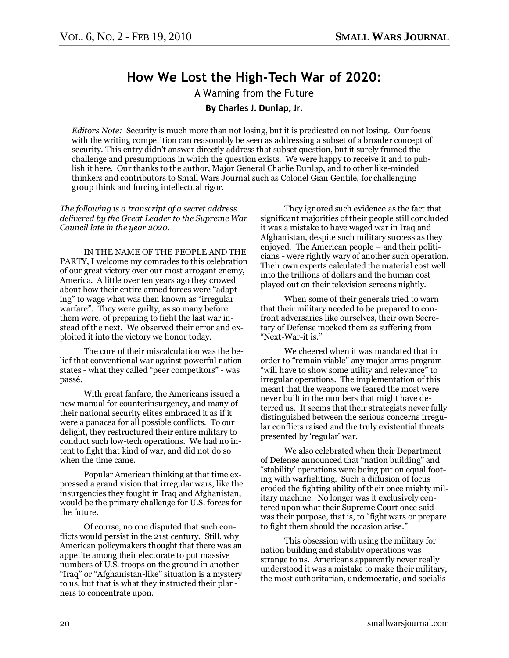## **How We Lost the High-Tech War of 2020:**

A Warning from the Future **By Charles J. Dunlap, Jr.**

<span id="page-19-0"></span>*Editors Note:* Security is much more than not losing, but it is predicated on not losing. Our focus with the writing competition can reasonably be seen as addressing a subset of a broader concept of security. This entry didn't answer directly address that subset question, but it surely framed the challenge and presumptions in which the question exists. We were happy to receive it and to publish it here. Our thanks to the author, Major General Charlie Dunlap, and to other like-minded thinkers and contributors to Small Wars Journal such as Colonel Gian Gentile, for challenging group think and forcing intellectual rigor.

*The following is a transcript of a secret address delivered by the Great Leader to the Supreme War Council late in the year 2020.*

IN THE NAME OF THE PEOPLE AND THE PARTY, I welcome my comrades to this celebration of our great victory over our most arrogant enemy, America. A little over ten years ago they crowed about how their entire armed forces were "adapting" to wage what was then known as "irregular" warfare". They were guilty, as so many before them were, of preparing to fight the last war instead of the next. We observed their error and exploited it into the victory we honor today.

The core of their miscalculation was the belief that conventional war against powerful nation states - what they called "peer competitors" - was passé.

With great fanfare, the Americans issued a new manual for counterinsurgency, and many of their national security elites embraced it as if it were a panacea for all possible conflicts. To our delight, they restructured their entire military to conduct such low-tech operations. We had no intent to fight that kind of war, and did not do so when the time came.

Popular American thinking at that time expressed a grand vision that irregular wars, like the insurgencies they fought in Iraq and Afghanistan, would be the primary challenge for U.S. forces for the future.

Of course, no one disputed that such conflicts would persist in the 21st century. Still, why American policymakers thought that there was an appetite among their electorate to put massive numbers of U.S. troops on the ground in another "Iraq" or "Afghanistan-like" situation is a mystery to us, but that is what they instructed their planners to concentrate upon.

They ignored such evidence as the fact that significant majorities of their people still concluded it was a mistake to have waged war in Iraq and Afghanistan, despite such military success as they enjoyed. The American people – and their politicians - were rightly wary of another such operation. Their own experts calculated the material cost well into the trillions of dollars and the human cost played out on their television screens nightly.

When some of their generals tried to warn that their military needed to be prepared to confront adversaries like ourselves, their own Secretary of Defense mocked them as suffering from "Next-War-it is."

We cheered when it was mandated that in order to "remain viable" any major arms program "will have to show some utility and relevance" to irregular operations. The implementation of this meant that the weapons we feared the most were never built in the numbers that might have deterred us. It seems that their strategists never fully distinguished between the serious concerns irregular conflicts raised and the truly existential threats presented by 'regular' war.

We also celebrated when their Department of Defense announced that "nation building" and ―stability' operations were being put on equal footing with warfighting. Such a diffusion of focus eroded the fighting ability of their once mighty military machine. No longer was it exclusively centered upon what their Supreme Court once said was their purpose, that is, to "fight wars or prepare to fight them should the occasion arise."

This obsession with using the military for nation building and stability operations was strange to us. Americans apparently never really understood it was a mistake to make their military, the most authoritarian, undemocratic, and socialis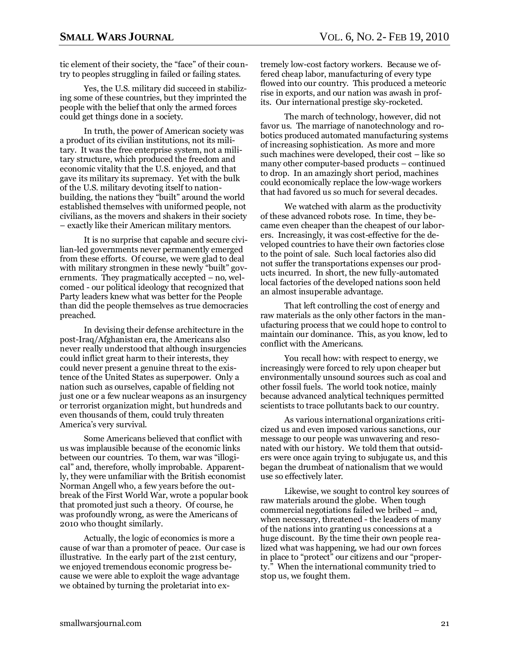tic element of their society, the "face" of their country to peoples struggling in failed or failing states.

Yes, the U.S. military did succeed in stabilizing some of these countries, but they imprinted the people with the belief that only the armed forces could get things done in a society.

In truth, the power of American society was a product of its civilian institutions, not its military. It was the free enterprise system, not a military structure, which produced the freedom and economic vitality that the U.S. enjoyed, and that gave its military its supremacy. Yet with the bulk of the U.S. military devoting itself to nationbuilding, the nations they "built" around the world established themselves with uniformed people, not civilians, as the movers and shakers in their society – exactly like their American military mentors.

It is no surprise that capable and secure civilian-led governments never permanently emerged from these efforts. Of course, we were glad to deal with military strongmen in these newly "built" governments. They pragmatically accepted – no, welcomed - our political ideology that recognized that Party leaders knew what was better for the People than did the people themselves as true democracies preached.

In devising their defense architecture in the post-Iraq/Afghanistan era, the Americans also never really understood that although insurgencies could inflict great harm to their interests, they could never present a genuine threat to the existence of the United States as superpower. Only a nation such as ourselves, capable of fielding not just one or a few nuclear weapons as an insurgency or terrorist organization might, but hundreds and even thousands of them, could truly threaten America's very survival.

Some Americans believed that conflict with us was implausible because of the economic links between our countries. To them, war was "illogical" and, therefore, wholly improbable. Apparently, they were unfamiliar with the British economist Norman Angell who, a few years before the outbreak of the First World War, wrote a popular book that promoted just such a theory. Of course, he was profoundly wrong, as were the Americans of 2010 who thought similarly.

Actually, the logic of economics is more a cause of war than a promoter of peace. Our case is illustrative. In the early part of the 21st century, we enjoyed tremendous economic progress because we were able to exploit the wage advantage we obtained by turning the proletariat into extremely low-cost factory workers. Because we offered cheap labor, manufacturing of every type flowed into our country. This produced a meteoric rise in exports, and our nation was awash in profits. Our international prestige sky-rocketed.

The march of technology, however, did not favor us. The marriage of nanotechnology and robotics produced automated manufacturing systems of increasing sophistication. As more and more such machines were developed, their cost – like so many other computer-based products – continued to drop. In an amazingly short period, machines could economically replace the low-wage workers that had favored us so much for several decades.

We watched with alarm as the productivity of these advanced robots rose. In time, they became even cheaper than the cheapest of our laborers. Increasingly, it was cost-effective for the developed countries to have their own factories close to the point of sale. Such local factories also did not suffer the transportations expenses our products incurred. In short, the new fully-automated local factories of the developed nations soon held an almost insuperable advantage.

That left controlling the cost of energy and raw materials as the only other factors in the manufacturing process that we could hope to control to maintain our dominance. This, as you know, led to conflict with the Americans.

You recall how: with respect to energy, we increasingly were forced to rely upon cheaper but environmentally unsound sources such as coal and other fossil fuels. The world took notice, mainly because advanced analytical techniques permitted scientists to trace pollutants back to our country.

As various international organizations criticized us and even imposed various sanctions, our message to our people was unwavering and resonated with our history. We told them that outsiders were once again trying to subjugate us, and this began the drumbeat of nationalism that we would use so effectively later.

Likewise, we sought to control key sources of raw materials around the globe. When tough commercial negotiations failed we bribed – and, when necessary, threatened - the leaders of many of the nations into granting us concessions at a huge discount. By the time their own people realized what was happening, we had our own forces in place to "protect" our citizens and our "property." When the international community tried to stop us, we fought them.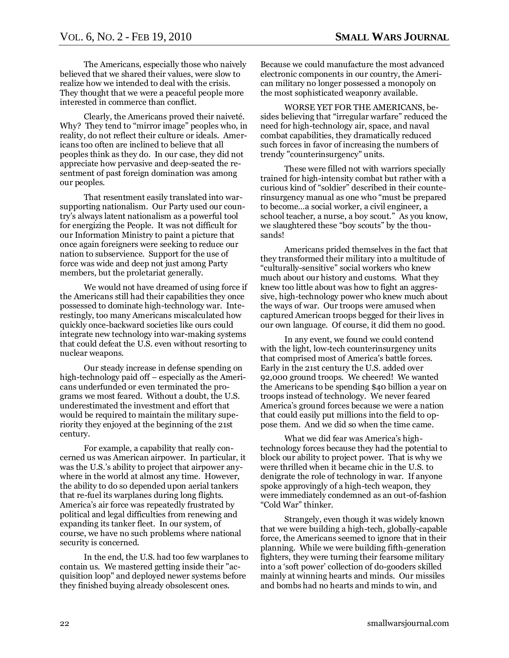The Americans, especially those who naively believed that we shared their values, were slow to realize how we intended to deal with the crisis. They thought that we were a peaceful people more interested in commerce than conflict.

Clearly, the Americans proved their naiveté. Why? They tend to "mirror image" peoples who, in reality, do not reflect their culture or ideals. Americans too often are inclined to believe that all peoples think as they do. In our case, they did not appreciate how pervasive and deep-seated the resentment of past foreign domination was among our peoples.

That resentment easily translated into warsupporting nationalism. Our Party used our country's always latent nationalism as a powerful tool for energizing the People. It was not difficult for our Information Ministry to paint a picture that once again foreigners were seeking to reduce our nation to subservience. Support for the use of force was wide and deep not just among Party members, but the proletariat generally.

We would not have dreamed of using force if the Americans still had their capabilities they once possessed to dominate high-technology war. Interestingly, too many Americans miscalculated how quickly once-backward societies like ours could integrate new technology into war-making systems that could defeat the U.S. even without resorting to nuclear weapons.

Our steady increase in defense spending on high-technology paid off – especially as the Americans underfunded or even terminated the programs we most feared. Without a doubt, the U.S. underestimated the investment and effort that would be required to maintain the military superiority they enjoyed at the beginning of the 21st century.

For example, a capability that really concerned us was American airpower. In particular, it was the U.S.'s ability to project that airpower anywhere in the world at almost any time. However, the ability to do so depended upon aerial tankers that re-fuel its warplanes during long flights. America's air force was repeatedly frustrated by political and legal difficulties from renewing and expanding its tanker fleet. In our system, of course, we have no such problems where national security is concerned.

In the end, the U.S. had too few warplanes to contain us. We mastered getting inside their "acquisition loop" and deployed newer systems before they finished buying already obsolescent ones.

Because we could manufacture the most advanced electronic components in our country, the American military no longer possessed a monopoly on the most sophisticated weaponry available.

WORSE YET FOR THE AMERICANS, besides believing that "irregular warfare" reduced the need for high-technology air, space, and naval combat capabilities, they dramatically reduced such forces in favor of increasing the numbers of trendy "counterinsurgency" units.

These were filled not with warriors specially trained for high-intensity combat but rather with a curious kind of "soldier" described in their counterinsurgency manual as one who "must be prepared" to become…a social worker, a civil engineer, a school teacher, a nurse, a boy scout." As you know, we slaughtered these "boy scouts" by the thousands!

Americans prided themselves in the fact that they transformed their military into a multitude of ―culturally-sensitive‖ social workers who knew much about our history and customs. What they knew too little about was how to fight an aggressive, high-technology power who knew much about the ways of war. Our troops were amused when captured American troops begged for their lives in our own language. Of course, it did them no good.

In any event, we found we could contend with the light, low-tech counterinsurgency units that comprised most of America's battle forces. Early in the 21st century the U.S. added over 92,000 ground troops. We cheered! We wanted the Americans to be spending \$40 billion a year on troops instead of technology. We never feared America's ground forces because we were a nation that could easily put millions into the field to oppose them. And we did so when the time came.

What we did fear was America's hightechnology forces because they had the potential to block our ability to project power. That is why we were thrilled when it became chic in the U.S. to denigrate the role of technology in war. If anyone spoke approvingly of a high-tech weapon, they were immediately condemned as an out-of-fashion "Cold War" thinker.

Strangely, even though it was widely known that we were building a high-tech, globally-capable force, the Americans seemed to ignore that in their planning. While we were building fifth-generation fighters, they were turning their fearsome military into a 'soft power' collection of do-gooders skilled mainly at winning hearts and minds. Our missiles and bombs had no hearts and minds to win, and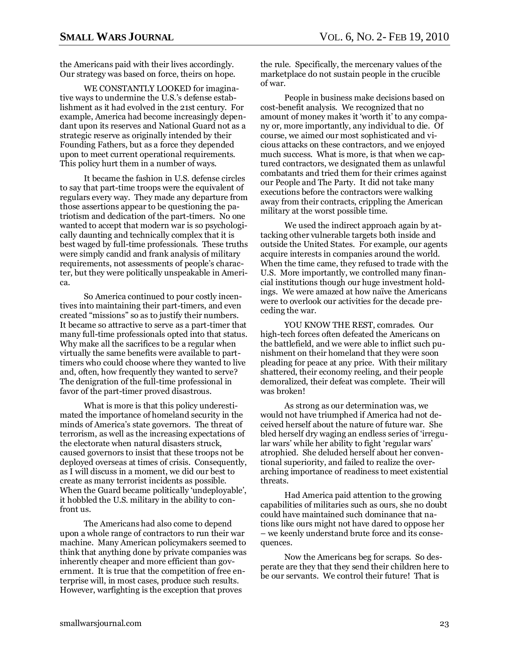the Americans paid with their lives accordingly. Our strategy was based on force, theirs on hope.

WE CONSTANTLY LOOKED for imaginative ways to undermine the U.S.'s defense establishment as it had evolved in the 21st century. For example, America had become increasingly dependant upon its reserves and National Guard not as a strategic reserve as originally intended by their Founding Fathers, but as a force they depended upon to meet current operational requirements. This policy hurt them in a number of ways.

It became the fashion in U.S. defense circles to say that part-time troops were the equivalent of regulars every way. They made any departure from those assertions appear to be questioning the patriotism and dedication of the part-timers. No one wanted to accept that modern war is so psychologically daunting and technically complex that it is best waged by full-time professionals. These truths were simply candid and frank analysis of military requirements, not assessments of people's character, but they were politically unspeakable in America.

So America continued to pour costly incentives into maintaining their part-timers, and even created "missions" so as to justify their numbers. It became so attractive to serve as a part-timer that many full-time professionals opted into that status. Why make all the sacrifices to be a regular when virtually the same benefits were available to parttimers who could choose where they wanted to live and, often, how frequently they wanted to serve? The denigration of the full-time professional in favor of the part-timer proved disastrous.

What is more is that this policy underestimated the importance of homeland security in the minds of America's state governors. The threat of terrorism, as well as the increasing expectations of the electorate when natural disasters struck, caused governors to insist that these troops not be deployed overseas at times of crisis. Consequently, as I will discuss in a moment, we did our best to create as many terrorist incidents as possible. When the Guard became politically 'undeployable'. it hobbled the U.S. military in the ability to confront us.

The Americans had also come to depend upon a whole range of contractors to run their war machine. Many American policymakers seemed to think that anything done by private companies was inherently cheaper and more efficient than government. It is true that the competition of free enterprise will, in most cases, produce such results. However, warfighting is the exception that proves

the rule. Specifically, the mercenary values of the marketplace do not sustain people in the crucible of war.

People in business make decisions based on cost-benefit analysis. We recognized that no amount of money makes it 'worth it' to any company or, more importantly, any individual to die. Of course, we aimed our most sophisticated and vicious attacks on these contractors, and we enjoyed much success. What is more, is that when we captured contractors, we designated them as unlawful combatants and tried them for their crimes against our People and The Party. It did not take many executions before the contractors were walking away from their contracts, crippling the American military at the worst possible time.

We used the indirect approach again by attacking other vulnerable targets both inside and outside the United States. For example, our agents acquire interests in companies around the world. When the time came, they refused to trade with the U.S. More importantly, we controlled many financial institutions though our huge investment holdings. We were amazed at how naïve the Americans were to overlook our activities for the decade preceding the war.

YOU KNOW THE REST, comrades. Our high-tech forces often defeated the Americans on the battlefield, and we were able to inflict such punishment on their homeland that they were soon pleading for peace at any price. With their military shattered, their economy reeling, and their people demoralized, their defeat was complete. Their will was broken!

As strong as our determination was, we would not have triumphed if America had not deceived herself about the nature of future war. She bled herself dry waging an endless series of 'irregular wars' while her ability to fight 'regular wars' atrophied. She deluded herself about her conventional superiority, and failed to realize the overarching importance of readiness to meet existential threats.

Had America paid attention to the growing capabilities of militaries such as ours, she no doubt could have maintained such dominance that nations like ours might not have dared to oppose her – we keenly understand brute force and its consequences.

Now the Americans beg for scraps. So desperate are they that they send their children here to be our servants. We control their future! That is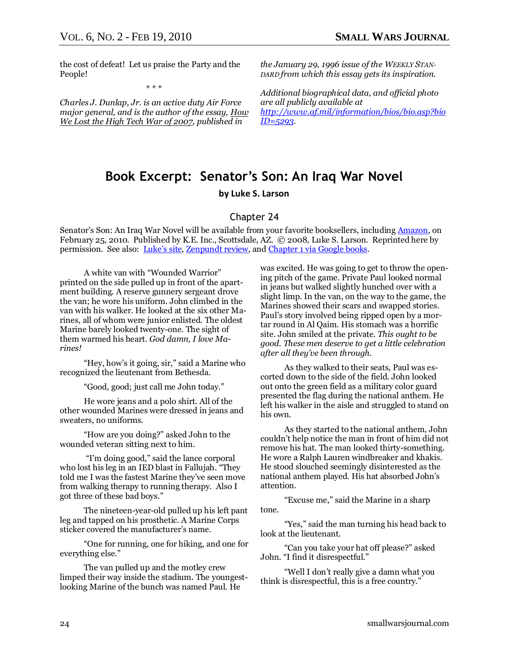the cost of defeat! Let us praise the Party and the People!

\* \* \*

*Charles J. Dunlap, Jr. is an active duty Air Force major general, and is the author of the essay, How We Lost the High Tech War of 2007, published in* 

*the January 29, 1996 issue of the WEEKLY STAN-DARD from which this essay gets its inspiration.*

*Additional biographical data, and official photo are all publicly available at [http://www.af.mil/information/bios/bio.asp?bio](http://www.af.mil/information/bios/bio.asp?bioID=5293) [ID=5293.](http://www.af.mil/information/bios/bio.asp?bioID=5293)* 

## **Book Excerpt: Senator's Son: An Iraq War Novel by Luke S. Larson**

#### Chapter 24

Senator's Son: An Iraq War Novel will be available from your favorite booksellers, includin[g Amazon,](http://www.amazon.com/gp/product/0615353797?ie=UTF8&tag=smallwarsjour-20&linkCode=as2&camp=1789&creative=9325&creativeASIN=0615353797) on February 25, 2010. Published by K.E. Inc., Scottsdale, AZ. © 2008, Luke S. Larson. Reprinted here by permission. See also: [Luke's site](http://www.lukeslarson.com/)[, Zenpundt review,](http://zenpundit.com/?p=3341) an[d Chapter 1 via Google books.](http://docs.google.com/fileview?id=0B3S7hv9JCf6AMGQxYjg4ZTMtMzNjMy00M2Y1LWJkMzQtZTBmMzMxZGYyZmIy)

A white van with "Wounded Warrior" printed on the side pulled up in front of the apartment building. A reserve gunnery sergeant drove the van; he wore his uniform. John climbed in the van with his walker. He looked at the six other Marines, all of whom were junior enlisted. The oldest Marine barely looked twenty-one. The sight of them warmed his heart. *God damn, I love Marines!* 

"Hey, how's it going, sir," said a Marine who recognized the lieutenant from Bethesda.

"Good, good; just call me John today."

He wore jeans and a polo shirt. All of the other wounded Marines were dressed in jeans and sweaters, no uniforms.

"How are you doing?" asked John to the wounded veteran sitting next to him.

"I'm doing good," said the lance corporal who lost his leg in an IED blast in Fallujah. "They told me I was the fastest Marine they've seen move from walking therapy to running therapy. Also I got three of these bad boys."

The nineteen-year-old pulled up his left pant leg and tapped on his prosthetic. A Marine Corps sticker covered the manufacturer's name.

―One for running, one for hiking, and one for everything else."

The van pulled up and the motley crew limped their way inside the stadium. The youngestlooking Marine of the bunch was named Paul. He

was excited. He was going to get to throw the opening pitch of the game. Private Paul looked normal in jeans but walked slightly hunched over with a slight limp. In the van, on the way to the game, the Marines showed their scars and swapped stories. Paul's story involved being ripped open by a mortar round in Al Qaim. His stomach was a horrific site. John smiled at the private. *This ought to be good. These men deserve to get a little celebration after all they've been through.*

As they walked to their seats, Paul was escorted down to the side of the field. John looked out onto the green field as a military color guard presented the flag during the national anthem. He left his walker in the aisle and struggled to stand on his own.

As they started to the national anthem, John couldn't help notice the man in front of him did not remove his hat. The man looked thirty-something. He wore a Ralph Lauren windbreaker and khakis. He stood slouched seemingly disinterested as the national anthem played. His hat absorbed John's attention.

"Excuse me," said the Marine in a sharp tone.

"Yes," said the man turning his head back to look at the lieutenant.

―Can you take your hat off please?‖ asked John. "I find it disrespectful."

―Well I don't really give a damn what you think is disrespectful, this is a free country."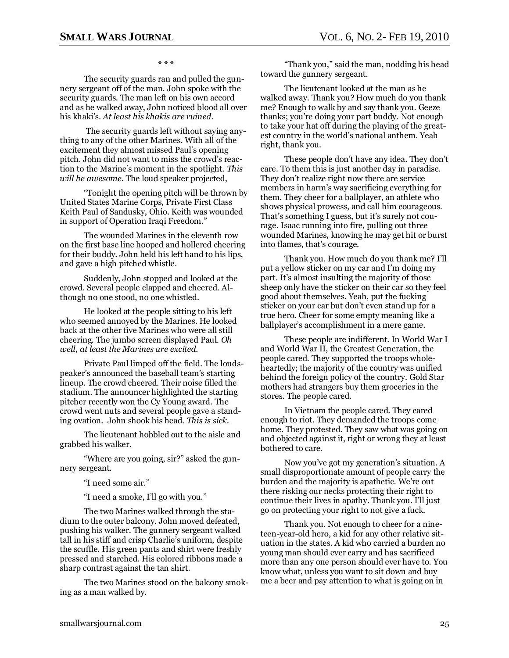\* \* \*

The security guards ran and pulled the gunnery sergeant off of the man. John spoke with the security guards. The man left on his own accord and as he walked away, John noticed blood all over his khaki's. *At least his khakis are ruined*.

The security guards left without saying anything to any of the other Marines. With all of the excitement they almost missed Paul's opening pitch. John did not want to miss the crowd's reaction to the Marine's moment in the spotlight. *This will be awesome.* The loud speaker projected,

―Tonight the opening pitch will be thrown by United States Marine Corps, Private First Class Keith Paul of Sandusky, Ohio. Keith was wounded in support of Operation Iraqi Freedom."

The wounded Marines in the eleventh row on the first base line hooped and hollered cheering for their buddy. John held his left hand to his lips, and gave a high pitched whistle.

Suddenly, John stopped and looked at the crowd. Several people clapped and cheered. Although no one stood, no one whistled.

He looked at the people sitting to his left who seemed annoyed by the Marines. He looked back at the other five Marines who were all still cheering. The jumbo screen displayed Paul. *Oh well, at least the Marines are excited.*

Private Paul limped off the field. The loudspeaker's announced the baseball team's starting lineup. The crowd cheered. Their noise filled the stadium. The announcer highlighted the starting pitcher recently won the Cy Young award. The crowd went nuts and several people gave a standing ovation. John shook his head. *This is sick.*

The lieutenant hobbled out to the aisle and grabbed his walker.

―Where are you going, sir?‖ asked the gunnery sergeant.

"I need some air."

"I need a smoke, I'll go with you."

The two Marines walked through the stadium to the outer balcony. John moved defeated, pushing his walker. The gunnery sergeant walked tall in his stiff and crisp Charlie's uniform, despite the scuffle. His green pants and shirt were freshly pressed and starched. His colored ribbons made a sharp contrast against the tan shirt.

The two Marines stood on the balcony smoking as a man walked by.

"Thank you," said the man, nodding his head toward the gunnery sergeant.

The lieutenant looked at the man as he walked away. Thank you? How much do you thank me? Enough to walk by and say thank you. Geeze thanks; you're doing your part buddy. Not enough to take your hat off during the playing of the greatest country in the world's national anthem. Yeah right, thank you.

These people don't have any idea. They don't care. To them this is just another day in paradise. They don't realize right now there are service members in harm's way sacrificing everything for them. They cheer for a ballplayer, an athlete who shows physical prowess, and call him courageous. That's something I guess, but it's surely not courage. Isaac running into fire, pulling out three wounded Marines, knowing he may get hit or burst into flames, that's courage.

Thank you. How much do you thank me? I'll put a yellow sticker on my car and I'm doing my part. It's almost insulting the majority of those sheep only have the sticker on their car so they feel good about themselves. Yeah, put the fucking sticker on your car but don't even stand up for a true hero. Cheer for some empty meaning like a ballplayer's accomplishment in a mere game.

These people are indifferent. In World War I and World War II, the Greatest Generation, the people cared. They supported the troops wholeheartedly; the majority of the country was unified behind the foreign policy of the country. Gold Star mothers had strangers buy them groceries in the stores. The people cared.

In Vietnam the people cared. They cared enough to riot. They demanded the troops come home. They protested. They saw what was going on and objected against it, right or wrong they at least bothered to care.

Now you've got my generation's situation. A small disproportionate amount of people carry the burden and the majority is apathetic. We're out there risking our necks protecting their right to continue their lives in apathy. Thank you. I'll just go on protecting your right to not give a fuck.

Thank you. Not enough to cheer for a nineteen-year-old hero, a kid for any other relative situation in the states. A kid who carried a burden no young man should ever carry and has sacrificed more than any one person should ever have to. You know what, unless you want to sit down and buy me a beer and pay attention to what is going on in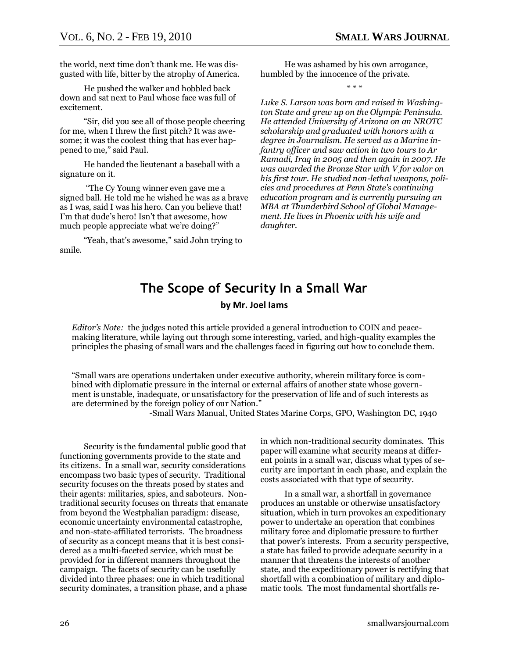the world, next time don't thank me. He was disgusted with life, bitter by the atrophy of America.

He pushed the walker and hobbled back down and sat next to Paul whose face was full of excitement.

―Sir, did you see all of those people cheering for me, when I threw the first pitch? It was awesome; it was the coolest thing that has ever happened to me," said Paul.

He handed the lieutenant a baseball with a signature on it.

―The Cy Young winner even gave me a signed ball. He told me he wished he was as a brave as I was, said I was his hero. Can you believe that! I'm that dude's hero! Isn't that awesome, how much people appreciate what we're doing?"

<span id="page-25-0"></span>"Yeah, that's awesome," said John trying to smile.

He was ashamed by his own arrogance, humbled by the innocence of the private.

\* \* \*

*Luke S. Larson was born and raised in Washington State and grew up on the Olympic Peninsula. He attended University of Arizona on an NROTC scholarship and graduated with honors with a degree in Journalism. He served as a Marine infantry officer and saw action in two tours to Ar Ramadi, Iraq in 2005 and then again in 2007. He was awarded the Bronze Star with V for valor on his first tour. He studied non-lethal weapons, policies and procedures at Penn State's continuing education program and is currently pursuing an MBA at Thunderbird School of Global Management. He lives in Phoenix with his wife and daughter.*

## **The Scope of Security In a Small War**

#### **by Mr. Joel Iams**

*Editor's Note:* the judges noted this article provided a general introduction to COIN and peacemaking literature, while laying out through some interesting, varied, and high-quality examples the principles the phasing of small wars and the challenges faced in figuring out how to conclude them.

―Small wars are operations undertaken under executive authority, wherein military force is combined with diplomatic pressure in the internal or external affairs of another state whose government is unstable, inadequate, or unsatisfactory for the preservation of life and of such interests as are determined by the foreign policy of our Nation."

-Small Wars Manual, United States Marine Corps, GPO, Washington DC, 1940

Security is the fundamental public good that functioning governments provide to the state and its citizens. In a small war, security considerations encompass two basic types of security. Traditional security focuses on the threats posed by states and their agents: militaries, spies, and saboteurs. Nontraditional security focuses on threats that emanate from beyond the Westphalian paradigm: disease, economic uncertainty environmental catastrophe, and non-state-affiliated terrorists. The broadness of security as a concept means that it is best considered as a multi-faceted service, which must be provided for in different manners throughout the campaign. The facets of security can be usefully divided into three phases: one in which traditional security dominates, a transition phase, and a phase

in which non-traditional security dominates. This paper will examine what security means at different points in a small war, discuss what types of security are important in each phase, and explain the costs associated with that type of security.

In a small war, a shortfall in governance produces an unstable or otherwise unsatisfactory situation, which in turn provokes an expeditionary power to undertake an operation that combines military force and diplomatic pressure to further that power's interests. From a security perspective, a state has failed to provide adequate security in a manner that threatens the interests of another state, and the expeditionary power is rectifying that shortfall with a combination of military and diplomatic tools. The most fundamental shortfalls re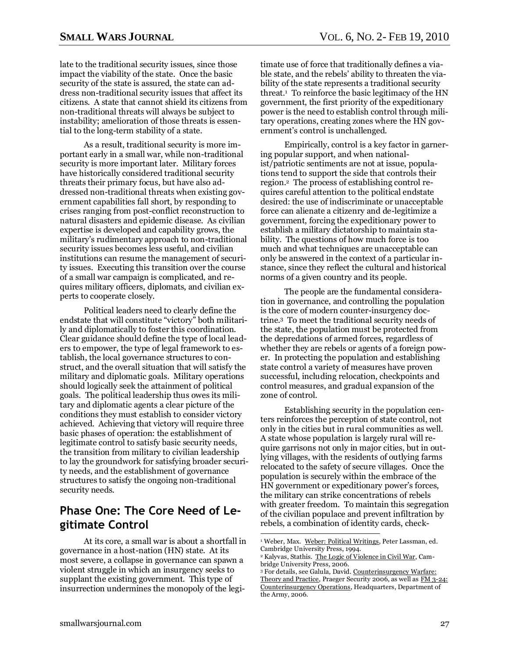late to the traditional security issues, since those impact the viability of the state. Once the basic security of the state is assured, the state can address non-traditional security issues that affect its citizens. A state that cannot shield its citizens from non-traditional threats will always be subject to instability; amelioration of those threats is essential to the long-term stability of a state.

As a result, traditional security is more important early in a small war, while non-traditional security is more important later. Military forces have historically considered traditional security threats their primary focus, but have also addressed non-traditional threats when existing government capabilities fall short, by responding to crises ranging from post-conflict reconstruction to natural disasters and epidemic disease. As civilian expertise is developed and capability grows, the military's rudimentary approach to non-traditional security issues becomes less useful, and civilian institutions can resume the management of security issues. Executing this transition over the course of a small war campaign is complicated, and requires military officers, diplomats, and civilian experts to cooperate closely.

Political leaders need to clearly define the endstate that will constitute "victory" both militarily and diplomatically to foster this coordination. Clear guidance should define the type of local leaders to empower, the type of legal framework to establish, the local governance structures to construct, and the overall situation that will satisfy the military and diplomatic goals. Military operations should logically seek the attainment of political goals. The political leadership thus owes its military and diplomatic agents a clear picture of the conditions they must establish to consider victory achieved. Achieving that victory will require three basic phases of operation: the establishment of legitimate control to satisfy basic security needs, the transition from military to civilian leadership to lay the groundwork for satisfying broader security needs, and the establishment of governance structures to satisfy the ongoing non-traditional security needs.

## **Phase One: The Core Need of Legitimate Control**

At its core, a small war is about a shortfall in governance in a host-nation (HN) state. At its most severe, a collapse in governance can spawn a violent struggle in which an insurgency seeks to supplant the existing government. This type of insurrection undermines the monopoly of the legitimate use of force that traditionally defines a viable state, and the rebels' ability to threaten the viability of the state represents a traditional security threat.<sup>1</sup> To reinforce the basic legitimacy of the HN government, the first priority of the expeditionary power is the need to establish control through military operations, creating zones where the HN government's control is unchallenged.

Empirically, control is a key factor in garnering popular support, and when nationalist/patriotic sentiments are not at issue, populations tend to support the side that controls their region.2 The process of establishing control requires careful attention to the political endstate desired: the use of indiscriminate or unacceptable force can alienate a citizenry and de-legitimize a government, forcing the expeditionary power to establish a military dictatorship to maintain stability. The questions of how much force is too much and what techniques are unacceptable can only be answered in the context of a particular instance, since they reflect the cultural and historical norms of a given country and its people.

The people are the fundamental consideration in governance, and controlling the population is the core of modern counter-insurgency doctrine.3 To meet the traditional security needs of the state, the population must be protected from the depredations of armed forces, regardless of whether they are rebels or agents of a foreign power. In protecting the population and establishing state control a variety of measures have proven successful, including relocation, checkpoints and control measures, and gradual expansion of the zone of control.

Establishing security in the population centers reinforces the perception of state control, not only in the cities but in rural communities as well. A state whose population is largely rural will require garrisons not only in major cities, but in outlying villages, with the residents of outlying farms relocated to the safety of secure villages. Once the population is securely within the embrace of the HN government or expeditionary power's forces, the military can strike concentrations of rebels with greater freedom. To maintain this segregation of the civilian populace and prevent infiltration by rebels, a combination of identity cards, check-

<sup>&</sup>lt;sup>1</sup> Weber, Max. Weber: Political Writings, Peter Lassman, ed. Cambridge University Press, 1994.

<sup>&</sup>lt;sup>2</sup> Kalyvas, Stathis. The Logic of Violence in Civil War, Cambridge University Press, 2006.

<sup>3</sup> For details, see Galula, David. Counterinsurgency Warfare: Theory and Practice, Praeger Security 2006, as well as FM 3-24: Counterinsurgency Operations, Headquarters, Department of the Army, 2006.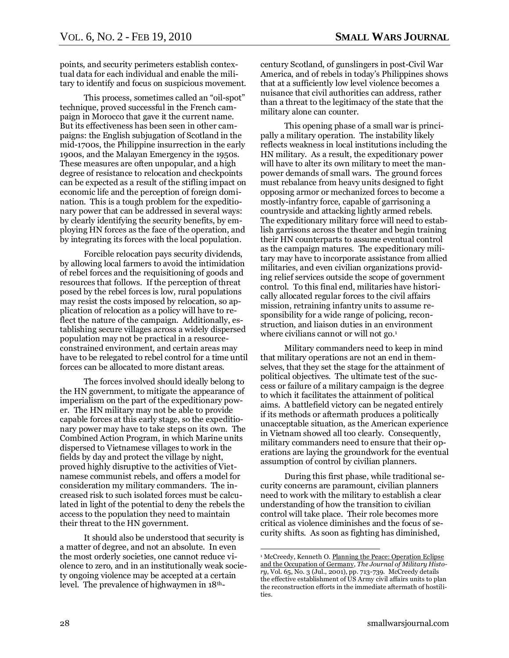points, and security perimeters establish contextual data for each individual and enable the military to identify and focus on suspicious movement.

This process, sometimes called an "oil-spot" technique, proved successful in the French campaign in Morocco that gave it the current name. But its effectiveness has been seen in other campaigns: the English subjugation of Scotland in the mid-1700s, the Philippine insurrection in the early 1900s, and the Malayan Emergency in the 1950s. These measures are often unpopular, and a high degree of resistance to relocation and checkpoints can be expected as a result of the stifling impact on economic life and the perception of foreign domination. This is a tough problem for the expeditionary power that can be addressed in several ways: by clearly identifying the security benefits, by employing HN forces as the face of the operation, and by integrating its forces with the local population.

Forcible relocation pays security dividends, by allowing local farmers to avoid the intimidation of rebel forces and the requisitioning of goods and resources that follows. If the perception of threat posed by the rebel forces is low, rural populations may resist the costs imposed by relocation, so application of relocation as a policy will have to reflect the nature of the campaign. Additionally, establishing secure villages across a widely dispersed population may not be practical in a resourceconstrained environment, and certain areas may have to be relegated to rebel control for a time until forces can be allocated to more distant areas.

The forces involved should ideally belong to the HN government, to mitigate the appearance of imperialism on the part of the expeditionary power. The HN military may not be able to provide capable forces at this early stage, so the expeditionary power may have to take steps on its own. The Combined Action Program, in which Marine units dispersed to Vietnamese villages to work in the fields by day and protect the village by night, proved highly disruptive to the activities of Vietnamese communist rebels, and offers a model for consideration my military commanders. The increased risk to such isolated forces must be calculated in light of the potential to deny the rebels the access to the population they need to maintain their threat to the HN government.

It should also be understood that security is a matter of degree, and not an absolute. In even the most orderly societies, one cannot reduce violence to zero, and in an institutionally weak society ongoing violence may be accepted at a certain level. The prevalence of highwaymen in 18thcentury Scotland, of gunslingers in post-Civil War America, and of rebels in today's Philippines shows that at a sufficiently low level violence becomes a nuisance that civil authorities can address, rather than a threat to the legitimacy of the state that the military alone can counter.

This opening phase of a small war is principally a military operation. The instability likely reflects weakness in local institutions including the HN military. As a result, the expeditionary power will have to alter its own military to meet the manpower demands of small wars. The ground forces must rebalance from heavy units designed to fight opposing armor or mechanized forces to become a mostly-infantry force, capable of garrisoning a countryside and attacking lightly armed rebels. The expeditionary military force will need to establish garrisons across the theater and begin training their HN counterparts to assume eventual control as the campaign matures. The expeditionary military may have to incorporate assistance from allied militaries, and even civilian organizations providing relief services outside the scope of government control. To this final end, militaries have historically allocated regular forces to the civil affairs mission, retraining infantry units to assume responsibility for a wide range of policing, reconstruction, and liaison duties in an environment where civilians cannot or will not go.<sup>1</sup>

Military commanders need to keep in mind that military operations are not an end in themselves, that they set the stage for the attainment of political objectives. The ultimate test of the success or failure of a military campaign is the degree to which it facilitates the attainment of political aims. A battlefield victory can be negated entirely if its methods or aftermath produces a politically unacceptable situation, as the American experience in Vietnam showed all too clearly. Consequently, military commanders need to ensure that their operations are laying the groundwork for the eventual assumption of control by civilian planners.

During this first phase, while traditional security concerns are paramount, civilian planners need to work with the military to establish a clear understanding of how the transition to civilian control will take place. Their role becomes more critical as violence diminishes and the focus of security shifts. As soon as fighting has diminished,

<sup>&</sup>lt;sup>1</sup> McCreedy, Kenneth O. Planning the Peace: Operation Eclipse and the Occupation of Germany, *The Journal of Military History*, Vol. 65, No. 3 (Jul., 2001), pp. 713-739. McCreedy details the effective establishment of US Army civil affairs units to plan the reconstruction efforts in the immediate aftermath of hostilities.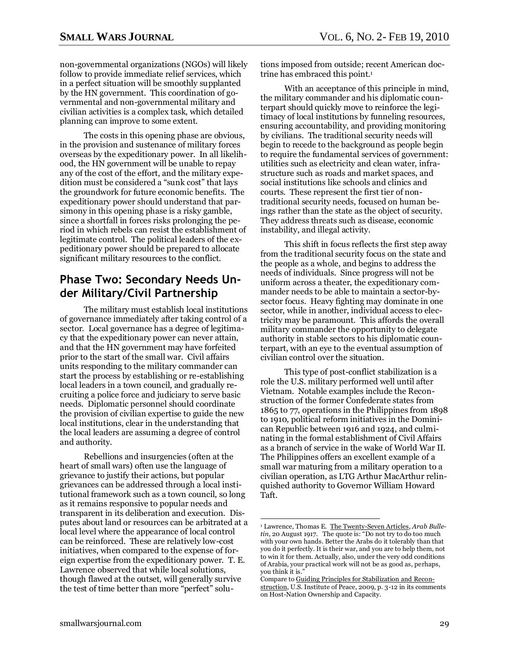non-governmental organizations (NGOs) will likely follow to provide immediate relief services, which in a perfect situation will be smoothly supplanted by the HN government. This coordination of governmental and non-governmental military and civilian activities is a complex task, which detailed planning can improve to some extent.

The costs in this opening phase are obvious, in the provision and sustenance of military forces overseas by the expeditionary power. In all likelihood, the HN government will be unable to repay any of the cost of the effort, and the military expedition must be considered a "sunk cost" that lays the groundwork for future economic benefits. The expeditionary power should understand that parsimony in this opening phase is a risky gamble, since a shortfall in forces risks prolonging the period in which rebels can resist the establishment of legitimate control. The political leaders of the expeditionary power should be prepared to allocate significant military resources to the conflict.

## **Phase Two: Secondary Needs Under Military/Civil Partnership**

The military must establish local institutions of governance immediately after taking control of a sector. Local governance has a degree of legitimacy that the expeditionary power can never attain, and that the HN government may have forfeited prior to the start of the small war. Civil affairs units responding to the military commander can start the process by establishing or re-establishing local leaders in a town council, and gradually recruiting a police force and judiciary to serve basic needs. Diplomatic personnel should coordinate the provision of civilian expertise to guide the new local institutions, clear in the understanding that the local leaders are assuming a degree of control and authority.

Rebellions and insurgencies (often at the heart of small wars) often use the language of grievance to justify their actions, but popular grievances can be addressed through a local institutional framework such as a town council, so long as it remains responsive to popular needs and transparent in its deliberation and execution. Disputes about land or resources can be arbitrated at a local level where the appearance of local control can be reinforced. These are relatively low-cost initiatives, when compared to the expense of foreign expertise from the expeditionary power. T. E. Lawrence observed that while local solutions, though flawed at the outset, will generally survive the test of time better than more "perfect" solutions imposed from outside; recent American doctrine has embraced this point.<sup>1</sup>

With an acceptance of this principle in mind, the military commander and his diplomatic counterpart should quickly move to reinforce the legitimacy of local institutions by funneling resources, ensuring accountability, and providing monitoring by civilians. The traditional security needs will begin to recede to the background as people begin to require the fundamental services of government: utilities such as electricity and clean water, infrastructure such as roads and market spaces, and social institutions like schools and clinics and courts. These represent the first tier of nontraditional security needs, focused on human beings rather than the state as the object of security. They address threats such as disease, economic instability, and illegal activity.

This shift in focus reflects the first step away from the traditional security focus on the state and the people as a whole, and begins to address the needs of individuals. Since progress will not be uniform across a theater, the expeditionary commander needs to be able to maintain a sector-bysector focus. Heavy fighting may dominate in one sector, while in another, individual access to electricity may be paramount. This affords the overall military commander the opportunity to delegate authority in stable sectors to his diplomatic counterpart, with an eye to the eventual assumption of civilian control over the situation.

This type of post-conflict stabilization is a role the U.S. military performed well until after Vietnam. Notable examples include the Reconstruction of the former Confederate states from 1865 to 77, operations in the Philippines from 1898 to 1910, political reform initiatives in the Dominican Republic between 1916 and 1924, and culminating in the formal establishment of Civil Affairs as a branch of service in the wake of World War II. The Philippines offers an excellent example of a small war maturing from a military operation to a civilian operation, as LTG Arthur MacArthur relinquished authority to Governor William Howard Taft.

<sup>1</sup> Lawrence, Thomas E. The Twenty-Seven Articles, *Arab Bulletin*, 20 August 1917. The quote is: "Do not try to do too much with your own hands. Better the Arabs do it tolerably than that you do it perfectly. It is their war, and you are to help them, not to win it for them. Actually, also, under the very odd conditions of Arabia, your practical work will not be as good as, perhaps, you think it is.'

Compare to Guiding Principles for Stabilization and Reconstruction, U.S. Institute of Peace, 2009, p. 3-12 in its comments on Host-Nation Ownership and Capacity.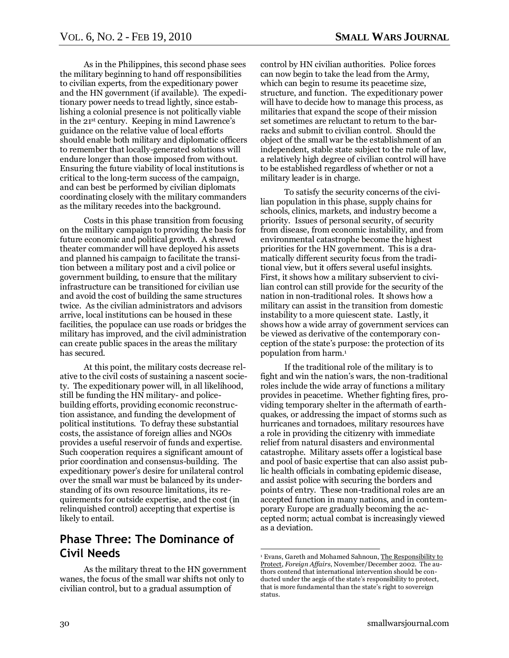As in the Philippines, this second phase sees the military beginning to hand off responsibilities to civilian experts, from the expeditionary power and the HN government (if available). The expeditionary power needs to tread lightly, since establishing a colonial presence is not politically viable in the 21st century. Keeping in mind Lawrence's guidance on the relative value of local efforts should enable both military and diplomatic officers to remember that locally-generated solutions will endure longer than those imposed from without. Ensuring the future viability of local institutions is critical to the long-term success of the campaign, and can best be performed by civilian diplomats coordinating closely with the military commanders as the military recedes into the background.

Costs in this phase transition from focusing on the military campaign to providing the basis for future economic and political growth. A shrewd theater commander will have deployed his assets and planned his campaign to facilitate the transition between a military post and a civil police or government building, to ensure that the military infrastructure can be transitioned for civilian use and avoid the cost of building the same structures twice. As the civilian administrators and advisors arrive, local institutions can be housed in these facilities, the populace can use roads or bridges the military has improved, and the civil administration can create public spaces in the areas the military has secured.

At this point, the military costs decrease relative to the civil costs of sustaining a nascent society. The expeditionary power will, in all likelihood, still be funding the HN military- and policebuilding efforts, providing economic reconstruction assistance, and funding the development of political institutions. To defray these substantial costs, the assistance of foreign allies and NGOs provides a useful reservoir of funds and expertise. Such cooperation requires a significant amount of prior coordination and consensus-building. The expeditionary power's desire for unilateral control over the small war must be balanced by its understanding of its own resource limitations, its requirements for outside expertise, and the cost (in relinquished control) accepting that expertise is likely to entail.

#### **Phase Three: The Dominance of Civil Needs**

As the military threat to the HN government wanes, the focus of the small war shifts not only to civilian control, but to a gradual assumption of

control by HN civilian authorities. Police forces can now begin to take the lead from the Army, which can begin to resume its peacetime size, structure, and function. The expeditionary power will have to decide how to manage this process, as militaries that expand the scope of their mission set sometimes are reluctant to return to the barracks and submit to civilian control. Should the object of the small war be the establishment of an independent, stable state subject to the rule of law, a relatively high degree of civilian control will have to be established regardless of whether or not a military leader is in charge.

To satisfy the security concerns of the civilian population in this phase, supply chains for schools, clinics, markets, and industry become a priority. Issues of personal security, of security from disease, from economic instability, and from environmental catastrophe become the highest priorities for the HN government. This is a dramatically different security focus from the traditional view, but it offers several useful insights. First, it shows how a military subservient to civilian control can still provide for the security of the nation in non-traditional roles. It shows how a military can assist in the transition from domestic instability to a more quiescent state. Lastly, it shows how a wide array of government services can be viewed as derivative of the contemporary conception of the state's purpose: the protection of its population from harm.<sup>1</sup>

If the traditional role of the military is to fight and win the nation's wars, the non-traditional roles include the wide array of functions a military provides in peacetime. Whether fighting fires, providing temporary shelter in the aftermath of earthquakes, or addressing the impact of storms such as hurricanes and tornadoes, military resources have a role in providing the citizenry with immediate relief from natural disasters and environmental catastrophe. Military assets offer a logistical base and pool of basic expertise that can also assist public health officials in combating epidemic disease, and assist police with securing the borders and points of entry. These non-traditional roles are an accepted function in many nations, and in contemporary Europe are gradually becoming the accepted norm; actual combat is increasingly viewed as a deviation.

<sup>1</sup> Evans, Gareth and Mohamed Sahnoun, The Responsibility to Protect, *Foreign Affairs*, November/December 2002. The authors contend that international intervention should be conducted under the aegis of the state's responsibility to protect, that is more fundamental than the state's right to sovereign status.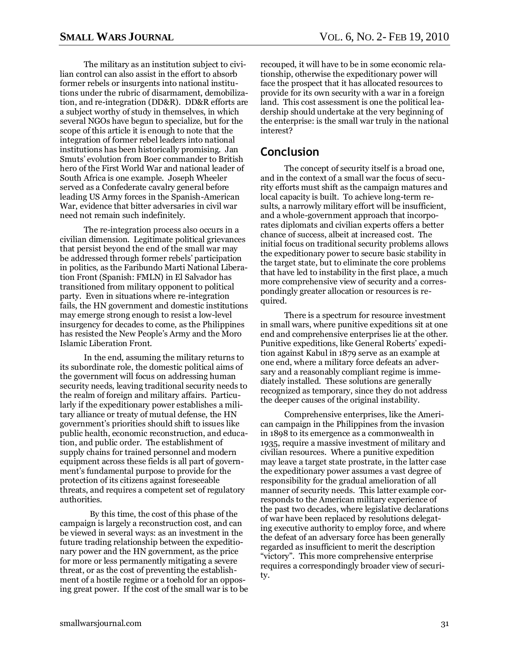The military as an institution subject to civilian control can also assist in the effort to absorb former rebels or insurgents into national institutions under the rubric of disarmament, demobilization, and re-integration (DD&R). DD&R efforts are a subject worthy of study in themselves, in which several NGOs have begun to specialize, but for the scope of this article it is enough to note that the integration of former rebel leaders into national institutions has been historically promising. Jan Smuts' evolution from Boer commander to British hero of the First World War and national leader of South Africa is one example. Joseph Wheeler served as a Confederate cavalry general before leading US Army forces in the Spanish-American War, evidence that bitter adversaries in civil war need not remain such indefinitely.

The re-integration process also occurs in a civilian dimension. Legitimate political grievances that persist beyond the end of the small war may be addressed through former rebels' participation in politics, as the Faribundo Marti National Liberation Front (Spanish: FMLN) in El Salvador has transitioned from military opponent to political party. Even in situations where re-integration fails, the HN government and domestic institutions may emerge strong enough to resist a low-level insurgency for decades to come, as the Philippines has resisted the New People's Army and the Moro Islamic Liberation Front.

In the end, assuming the military returns to its subordinate role, the domestic political aims of the government will focus on addressing human security needs, leaving traditional security needs to the realm of foreign and military affairs. Particularly if the expeditionary power establishes a military alliance or treaty of mutual defense, the HN government's priorities should shift to issues like public health, economic reconstruction, and education, and public order. The establishment of supply chains for trained personnel and modern equipment across these fields is all part of government's fundamental purpose to provide for the protection of its citizens against foreseeable threats, and requires a competent set of regulatory authorities.

By this time, the cost of this phase of the campaign is largely a reconstruction cost, and can be viewed in several ways: as an investment in the future trading relationship between the expeditionary power and the HN government, as the price for more or less permanently mitigating a severe threat, or as the cost of preventing the establishment of a hostile regime or a toehold for an opposing great power. If the cost of the small war is to be recouped, it will have to be in some economic relationship, otherwise the expeditionary power will face the prospect that it has allocated resources to provide for its own security with a war in a foreign land. This cost assessment is one the political leadership should undertake at the very beginning of the enterprise: is the small war truly in the national interest?

#### **Conclusion**

The concept of security itself is a broad one, and in the context of a small war the focus of security efforts must shift as the campaign matures and local capacity is built. To achieve long-term results, a narrowly military effort will be insufficient, and a whole-government approach that incorporates diplomats and civilian experts offers a better chance of success, albeit at increased cost. The initial focus on traditional security problems allows the expeditionary power to secure basic stability in the target state, but to eliminate the core problems that have led to instability in the first place, a much more comprehensive view of security and a correspondingly greater allocation or resources is required.

There is a spectrum for resource investment in small wars, where punitive expeditions sit at one end and comprehensive enterprises lie at the other. Punitive expeditions, like General Roberts' expedition against Kabul in 1879 serve as an example at one end, where a military force defeats an adversary and a reasonably compliant regime is immediately installed. These solutions are generally recognized as temporary, since they do not address the deeper causes of the original instability.

Comprehensive enterprises, like the American campaign in the Philippines from the invasion in 1898 to its emergence as a commonwealth in 1935, require a massive investment of military and civilian resources. Where a punitive expedition may leave a target state prostrate, in the latter case the expeditionary power assumes a vast degree of responsibility for the gradual amelioration of all manner of security needs. This latter example corresponds to the American military experience of the past two decades, where legislative declarations of war have been replaced by resolutions delegating executive authority to employ force, and where the defeat of an adversary force has been generally regarded as insufficient to merit the description ―victory‖. This more comprehensive enterprise requires a correspondingly broader view of security.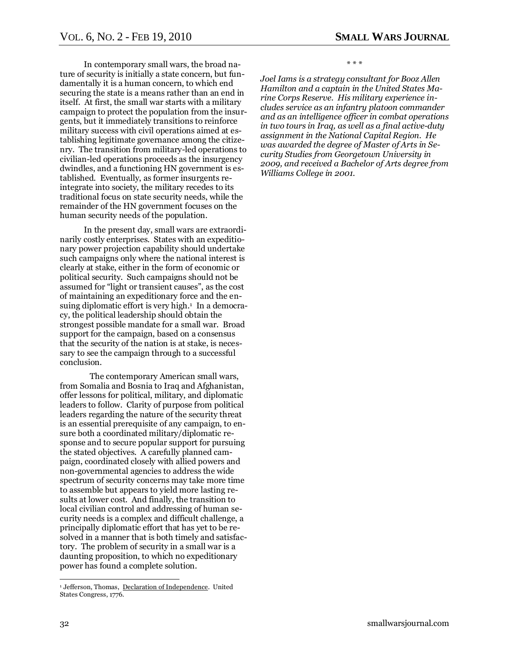In contemporary small wars, the broad nature of security is initially a state concern, but fundamentally it is a human concern, to which end securing the state is a means rather than an end in itself. At first, the small war starts with a military campaign to protect the population from the insurgents, but it immediately transitions to reinforce military success with civil operations aimed at establishing legitimate governance among the citizenry. The transition from military-led operations to civilian-led operations proceeds as the insurgency dwindles, and a functioning HN government is established. Eventually, as former insurgents reintegrate into society, the military recedes to its traditional focus on state security needs, while the remainder of the HN government focuses on the human security needs of the population.

In the present day, small wars are extraordinarily costly enterprises. States with an expeditionary power projection capability should undertake such campaigns only where the national interest is clearly at stake, either in the form of economic or political security. Such campaigns should not be assumed for "light or transient causes", as the cost of maintaining an expeditionary force and the ensuing diplomatic effort is very high.<sup>1</sup> In a democracy, the political leadership should obtain the strongest possible mandate for a small war. Broad support for the campaign, based on a consensus that the security of the nation is at stake, is necessary to see the campaign through to a successful conclusion.

The contemporary American small wars, from Somalia and Bosnia to Iraq and Afghanistan, offer lessons for political, military, and diplomatic leaders to follow. Clarity of purpose from political leaders regarding the nature of the security threat is an essential prerequisite of any campaign, to ensure both a coordinated military/diplomatic response and to secure popular support for pursuing the stated objectives. A carefully planned campaign, coordinated closely with allied powers and non-governmental agencies to address the wide spectrum of security concerns may take more time to assemble but appears to yield more lasting results at lower cost. And finally, the transition to local civilian control and addressing of human security needs is a complex and difficult challenge, a principally diplomatic effort that has yet to be resolved in a manner that is both timely and satisfactory. The problem of security in a small war is a daunting proposition, to which no expeditionary power has found a complete solution.

\* \* \*

*Joel Iams is a strategy consultant for Booz Allen Hamilton and a captain in the United States Marine Corps Reserve. His military experience includes service as an infantry platoon commander and as an intelligence officer in combat operations in two tours in Iraq, as well as a final active-duty assignment in the National Capital Region. He was awarded the degree of Master of Arts in Security Studies from Georgetown University in 2009, and received a Bachelor of Arts degree from Williams College in 2001.*

<sup>&</sup>lt;sup>1</sup> Jefferson, Thomas, Declaration of Independence. United States Congress, 1776.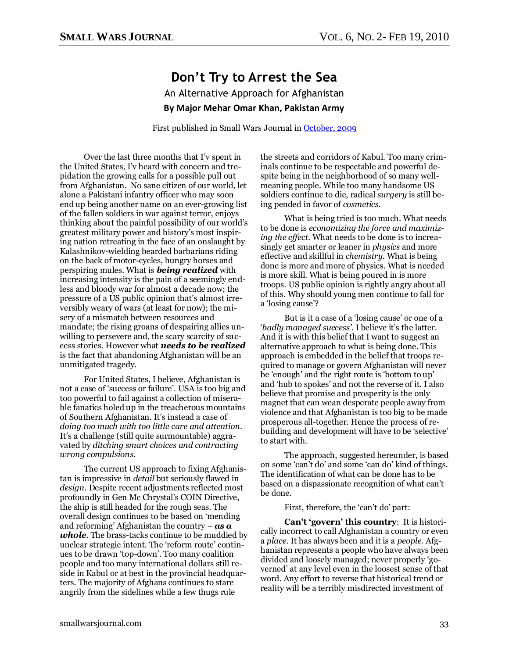## **Don't Try to Arrest the Sea** An Alternative Approach for Afghanistan **By Major Mehar Omar Khan, Pakistan Army**

First published in Small Wars Journal in [October, 2009](http://smallwarsjournal.com/blog/2009/10/an-alternative-approach-for-af/)

<span id="page-32-0"></span>Over the last three months that I'v spent in the United States, I'v heard with concern and trepidation the growing calls for a possible pull out from Afghanistan. No sane citizen of our world, let alone a Pakistani infantry officer who may soon end up being another name on an ever-growing list of the fallen soldiers in war against terror, enjoys thinking about the painful possibility of our world's greatest military power and history's most inspiring nation retreating in the face of an onslaught by Kalashnikov-wielding bearded barbarians riding on the back of motor-cycles, hungry horses and perspiring mules. What is *being realized* with increasing intensity is the pain of a seemingly endless and bloody war for almost a decade now; the pressure of a US public opinion that's almost irreversibly weary of wars (at least for now); the misery of a mismatch between resources and mandate; the rising groans of despairing allies unwilling to persevere and, the scary scarcity of success stories. However what *needs to be realized* is the fact that abandoning Afghanistan will be an unmitigated tragedy.

For United States, I believe, Afghanistan is not a case of 'success or failure'. USA is too big and too powerful to fail against a collection of miserable fanatics holed up in the treacherous mountains of Southern Afghanistan. It's instead a case of *doing too much with too little care and attention*. It's a challenge (still quite surmountable) aggravated by *ditching smart choices and contracting wrong compulsions.* 

The current US approach to fixing Afghanistan is impressive in *detail* but seriously flawed in *design*. Despite recent adjustments reflected most profoundly in Gen Mc Chrystal's COIN Directive, the ship is still headed for the rough seas. The overall design continues to be based on 'mending and reforming' Afghanistan the country – *as a whole*. The brass-tacks continue to be muddied by unclear strategic intent. The 'reform route' continues to be drawn ‗top-down'. Too many coalition people and too many international dollars still reside in Kabul or at best in the provincial headquarters. The majority of Afghans continues to stare angrily from the sidelines while a few thugs rule

the streets and corridors of Kabul. Too many criminals continue to be respectable and powerful despite being in the neighborhood of so many wellmeaning people. While too many handsome US soldiers continue to die, radical *surgery* is still being pended in favor of *cosmetics*.

What is being tried is too much. What needs to be done is *economizing the force and maximizing the effect*. What needs to be done is to increasingly get smarter or leaner in *physics* and more effective and skillful in *chemistry*. What is being done is more and more of physics. What is needed is more skill. What is being poured in is more troops. US public opinion is rightly angry about all of this. Why should young men continue to fall for a 'losing cause'?

But is it a case of a 'losing cause' or one of a ‗*badly managed success'*. I believe it's the latter. And it is with this belief that I want to suggest an alternative approach to what is being done. This approach is embedded in the belief that troops required to manage or govern Afghanistan will never be 'enough' and the right route is 'bottom to up' and 'hub to spokes' and not the reverse of it. I also believe that promise and prosperity is the only magnet that can wean desperate people away from violence and that Afghanistan is too big to be made prosperous all-together. Hence the process of rebuilding and development will have to be 'selective' to start with.

The approach, suggested hereunder, is based on some 'can't do' and some 'can do' kind of things. The identification of what can be done has to be based on a dispassionate recognition of what can't be done.

First, therefore, the 'can't do' part:

**Can"t "govern" this country**: It is historically incorrect to call Afghanistan a country or even a *place*. It has always been and it is a *people*. Afghanistan represents a people who have always been divided and loosely managed; never properly 'governed' at any level even in the loosest sense of that word. Any effort to reverse that historical trend or reality will be a terribly misdirected investment of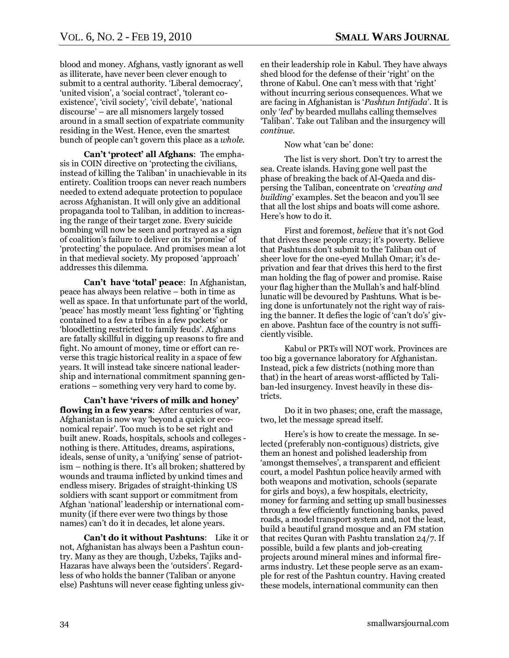blood and money. Afghans, vastly ignorant as well as illiterate, have never been clever enough to submit to a central authority. 'Liberal democracy', 'united vision', a 'social contract', 'tolerant coexistence', 'civil society', 'civil debate', 'national discourse' – are all misnomers largely tossed around in a small section of expatriate community residing in the West. Hence, even the smartest bunch of people can't govern this place as a *whole.*

**Can"t "protect" all Afghans**: The emphasis in COIN directive on 'protecting the civilians, instead of killing the Taliban' in unachievable in its entirety. Coalition troops can never reach numbers needed to extend adequate protection to populace across Afghanistan. It will only give an additional propaganda tool to Taliban, in addition to increasing the range of their target zone. Every suicide bombing will now be seen and portrayed as a sign of coalition's failure to deliver on its 'promise' of ‗protecting' the populace. And promises mean a lot in that medieval society. My proposed ‗approach' addresses this dilemma.

**Can"t have "total" peace**: In Afghanistan, peace has always been relative – both in time as well as space. In that unfortunate part of the world, ‗peace' has mostly meant ‗less fighting' or ‗fighting contained to a few a tribes in a few pockets' or ‗bloodletting restricted to family feuds'. Afghans are fatally skillful in digging up reasons to fire and fight. No amount of money, time or effort can reverse this tragic historical reality in a space of few years. It will instead take sincere national leadership and international commitment spanning generations – something very very hard to come by.

**Can"t have "rivers of milk and honey" flowing in a few years**: After centuries of war, Afghanistan is now way 'beyond a quick or economical repair'. Too much is to be set right and built anew. Roads, hospitals, schools and colleges nothing is there. Attitudes, dreams, aspirations, ideals, sense of unity, a 'unifying' sense of patriotism – nothing is there. It's all broken; shattered by wounds and trauma inflicted by unkind times and endless misery. Brigades of straight-thinking US soldiers with scant support or commitment from Afghan ‗national' leadership or international community (if there ever were two things by those names) can't do it in decades, let alone years.

**Can"t do it without Pashtuns**: Like it or not, Afghanistan has always been a Pashtun country. Many as they are though, Uzbeks, Tajiks and-Hazaras have always been the 'outsiders'. Regardless of who holds the banner (Taliban or anyone else) Pashtuns will never cease fighting unless given their leadership role in Kabul. They have always shed blood for the defense of their 'right' on the throne of Kabul. One can't mess with that 'right' without incurring serious consequences. What we are facing in Afghanistan is ‗*Pashtun Intifada*'. It is only ‗*led*' by bearded mullahs calling themselves ‗Taliban'. Take out Taliban and the insurgency will *continue*.

Now what 'can be' done:

The list is very short. Don't try to arrest the sea. Create islands. Having gone well past the phase of breaking the back of Al-Qaeda and dispersing the Taliban, concentrate on ‗*creating and building*' examples. Set the beacon and you'll see that all the lost ships and boats will come ashore. Here's how to do it.

First and foremost, *believe* that it's not God that drives these people crazy; it's poverty. Believe that Pashtuns don't submit to the Taliban out of sheer love for the one-eyed Mullah Omar; it's deprivation and fear that drives this herd to the first man holding the flag of power and promise. Raise your flag higher than the Mullah's and half-blind lunatic will be devoured by Pashtuns. What is being done is unfortunately not the right way of raising the banner. It defies the logic of 'can't do's' given above. Pashtun face of the country is not sufficiently visible.

Kabul or PRTs will NOT work. Provinces are too big a governance laboratory for Afghanistan. Instead, pick a few districts (nothing more than that) in the heart of areas worst-afflicted by Taliban-led insurgency. Invest heavily in these districts.

Do it in two phases; one, craft the massage, two, let the message spread itself.

Here's is how to create the message. In selected (preferably non-contiguous) districts, give them an honest and polished leadership from ‗amongst themselves', a transparent and efficient court, a model Pashtun police heavily armed with both weapons and motivation, schools (separate for girls and boys), a few hospitals, electricity, money for farming and setting up small businesses through a few efficiently functioning banks, paved roads, a model transport system and, not the least, build a beautiful grand mosque and an FM station that recites Quran with Pashtu translation 24/7. If possible, build a few plants and job-creating projects around mineral mines and informal firearms industry. Let these people serve as an example for rest of the Pashtun country. Having created these models, international community can then